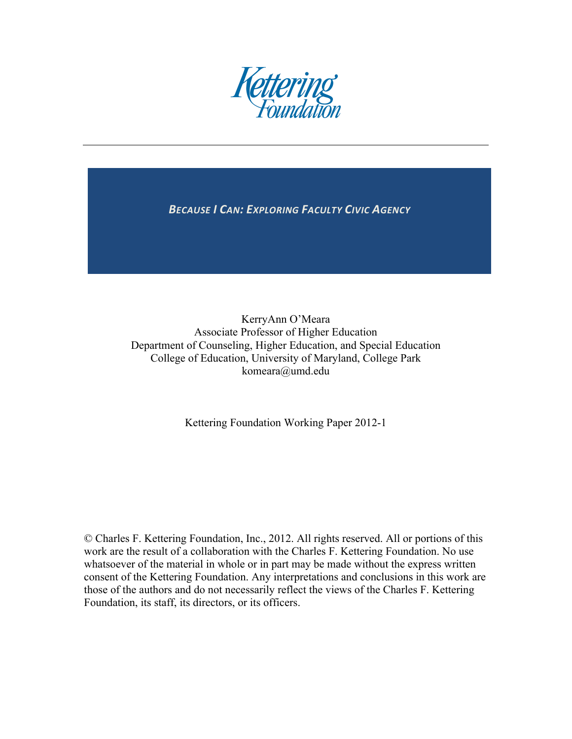

**BECAUSE I CAN: EXPLORING FACULTY CIVIC AGENCY** 

KerryAnn O'Meara Associate Professor of Higher Education Department of Counseling, Higher Education, and Special Education College of Education, University of Maryland, College Park komeara@umd.edu

Kettering Foundation Working Paper 2012-1

© Charles F. Kettering Foundation, Inc., 2012. All rights reserved. All or portions of this work are the result of a collaboration with the Charles F. Kettering Foundation. No use whatsoever of the material in whole or in part may be made without the express written consent of the Kettering Foundation. Any interpretations and conclusions in this work are those of the authors and do not necessarily reflect the views of the Charles F. Kettering Foundation, its staff, its directors, or its officers.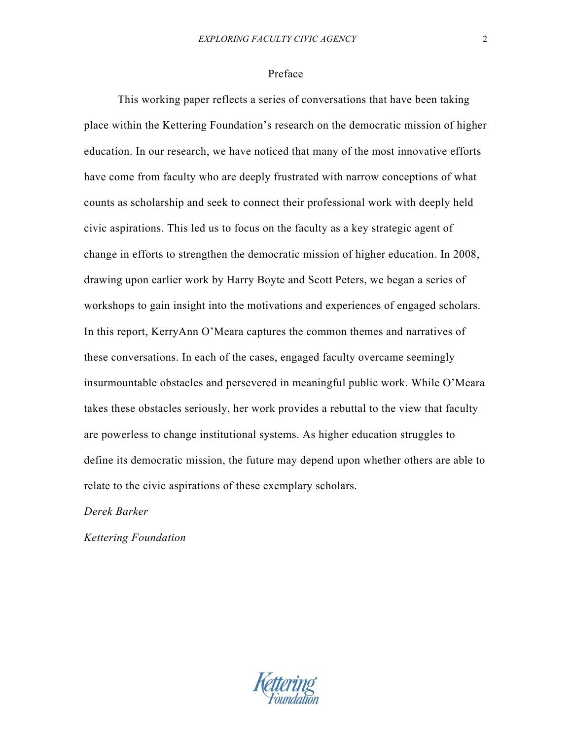## Preface

This working paper reflects a series of conversations that have been taking place within the Kettering Foundation's research on the democratic mission of higher education. In our research, we have noticed that many of the most innovative efforts have come from faculty who are deeply frustrated with narrow conceptions of what counts as scholarship and seek to connect their professional work with deeply held civic aspirations. This led us to focus on the faculty as a key strategic agent of change in efforts to strengthen the democratic mission of higher education. In 2008, drawing upon earlier work by Harry Boyte and Scott Peters, we began a series of workshops to gain insight into the motivations and experiences of engaged scholars. In this report, KerryAnn O'Meara captures the common themes and narratives of these conversations. In each of the cases, engaged faculty overcame seemingly insurmountable obstacles and persevered in meaningful public work. While O'Meara takes these obstacles seriously, her work provides a rebuttal to the view that faculty are powerless to change institutional systems. As higher education struggles to define its democratic mission, the future may depend upon whether others are able to relate to the civic aspirations of these exemplary scholars.

*Derek Barker*

*Kettering Foundation*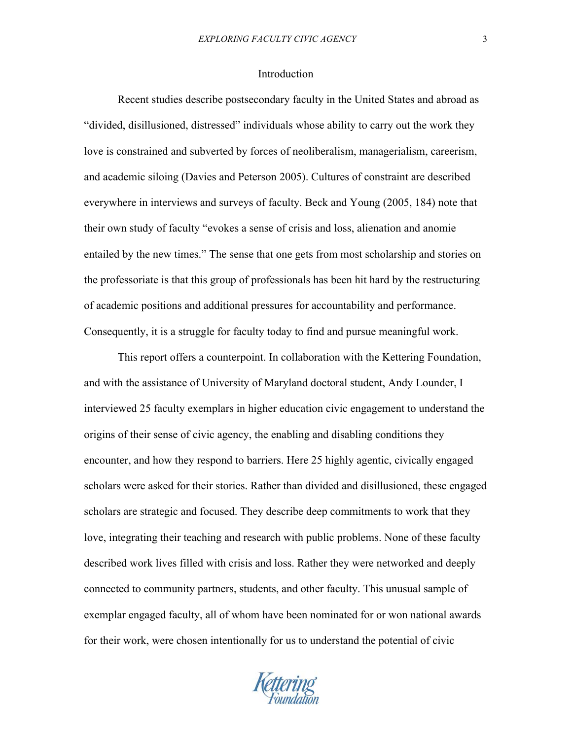## Introduction

Recent studies describe postsecondary faculty in the United States and abroad as "divided, disillusioned, distressed" individuals whose ability to carry out the work they love is constrained and subverted by forces of neoliberalism, managerialism, careerism, and academic siloing (Davies and Peterson 2005). Cultures of constraint are described everywhere in interviews and surveys of faculty. Beck and Young (2005, 184) note that their own study of faculty "evokes a sense of crisis and loss, alienation and anomie entailed by the new times." The sense that one gets from most scholarship and stories on the professoriate is that this group of professionals has been hit hard by the restructuring of academic positions and additional pressures for accountability and performance. Consequently, it is a struggle for faculty today to find and pursue meaningful work.

This report offers a counterpoint. In collaboration with the Kettering Foundation, and with the assistance of University of Maryland doctoral student, Andy Lounder, I interviewed 25 faculty exemplars in higher education civic engagement to understand the origins of their sense of civic agency, the enabling and disabling conditions they encounter, and how they respond to barriers. Here 25 highly agentic, civically engaged scholars were asked for their stories. Rather than divided and disillusioned, these engaged scholars are strategic and focused. They describe deep commitments to work that they love, integrating their teaching and research with public problems. None of these faculty described work lives filled with crisis and loss. Rather they were networked and deeply connected to community partners, students, and other faculty. This unusual sample of exemplar engaged faculty, all of whom have been nominated for or won national awards for their work, were chosen intentionally for us to understand the potential of civic

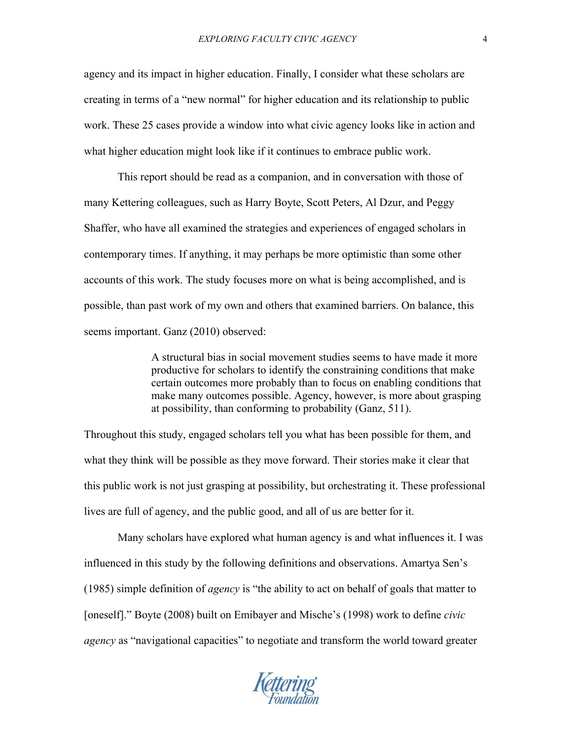agency and its impact in higher education. Finally, I consider what these scholars are creating in terms of a "new normal" for higher education and its relationship to public work. These 25 cases provide a window into what civic agency looks like in action and what higher education might look like if it continues to embrace public work.

This report should be read as a companion, and in conversation with those of many Kettering colleagues, such as Harry Boyte, Scott Peters, Al Dzur, and Peggy Shaffer, who have all examined the strategies and experiences of engaged scholars in contemporary times. If anything, it may perhaps be more optimistic than some other accounts of this work. The study focuses more on what is being accomplished, and is possible, than past work of my own and others that examined barriers. On balance, this seems important. Ganz (2010) observed:

> A structural bias in social movement studies seems to have made it more productive for scholars to identify the constraining conditions that make certain outcomes more probably than to focus on enabling conditions that make many outcomes possible. Agency, however, is more about grasping at possibility, than conforming to probability (Ganz, 511).

Throughout this study, engaged scholars tell you what has been possible for them, and what they think will be possible as they move forward. Their stories make it clear that this public work is not just grasping at possibility, but orchestrating it. These professional lives are full of agency, and the public good, and all of us are better for it.

Many scholars have explored what human agency is and what influences it. I was influenced in this study by the following definitions and observations. Amartya Sen's (1985) simple definition of *agency* is "the ability to act on behalf of goals that matter to [oneself]." Boyte (2008) built on Emibayer and Mische's (1998) work to define *civic agency* as "navigational capacities" to negotiate and transform the world toward greater

Kettering<br>Foundation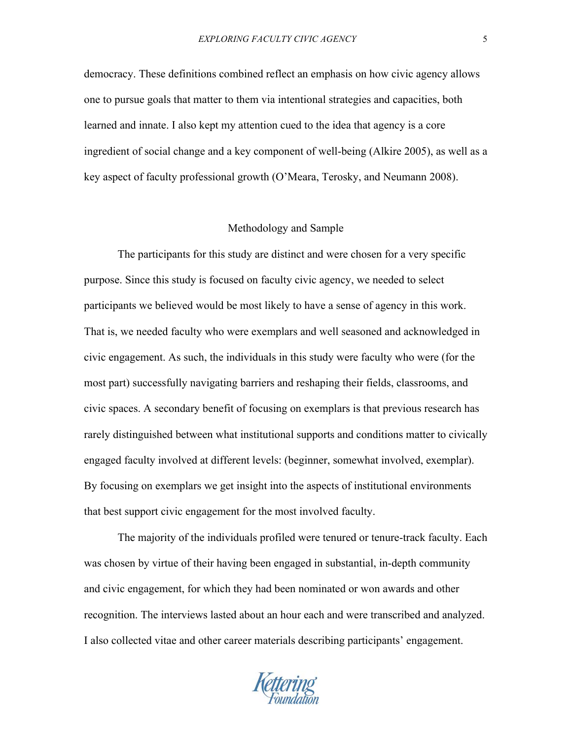democracy. These definitions combined reflect an emphasis on how civic agency allows one to pursue goals that matter to them via intentional strategies and capacities, both learned and innate. I also kept my attention cued to the idea that agency is a core ingredient of social change and a key component of well-being (Alkire 2005), as well as a key aspect of faculty professional growth (O'Meara, Terosky, and Neumann 2008).

#### Methodology and Sample

The participants for this study are distinct and were chosen for a very specific purpose. Since this study is focused on faculty civic agency, we needed to select participants we believed would be most likely to have a sense of agency in this work. That is, we needed faculty who were exemplars and well seasoned and acknowledged in civic engagement. As such, the individuals in this study were faculty who were (for the most part) successfully navigating barriers and reshaping their fields, classrooms, and civic spaces. A secondary benefit of focusing on exemplars is that previous research has rarely distinguished between what institutional supports and conditions matter to civically engaged faculty involved at different levels: (beginner, somewhat involved, exemplar). By focusing on exemplars we get insight into the aspects of institutional environments that best support civic engagement for the most involved faculty.

The majority of the individuals profiled were tenured or tenure-track faculty. Each was chosen by virtue of their having been engaged in substantial, in-depth community and civic engagement, for which they had been nominated or won awards and other recognition. The interviews lasted about an hour each and were transcribed and analyzed. I also collected vitae and other career materials describing participants' engagement.

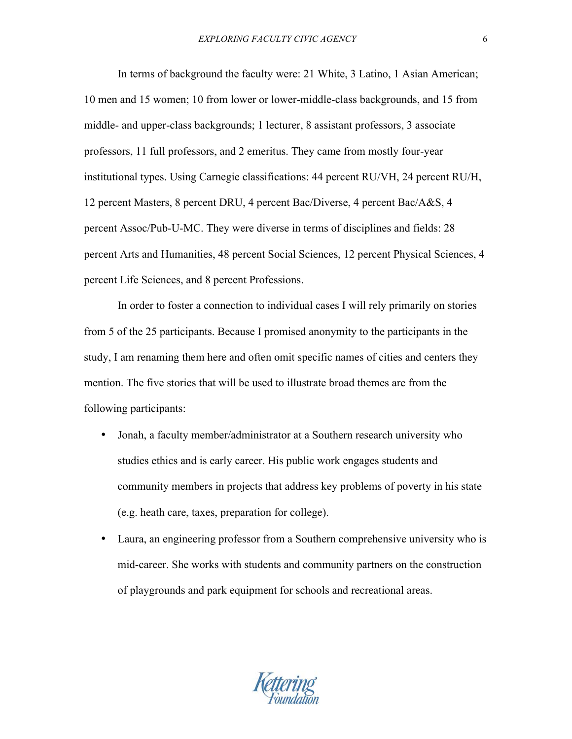In terms of background the faculty were: 21 White, 3 Latino, 1 Asian American; 10 men and 15 women; 10 from lower or lower-middle-class backgrounds, and 15 from middle- and upper-class backgrounds; 1 lecturer, 8 assistant professors, 3 associate professors, 11 full professors, and 2 emeritus. They came from mostly four-year institutional types. Using Carnegie classifications: 44 percent RU/VH, 24 percent RU/H, 12 percent Masters, 8 percent DRU, 4 percent Bac/Diverse, 4 percent Bac/A&S, 4 percent Assoc/Pub-U-MC. They were diverse in terms of disciplines and fields: 28 percent Arts and Humanities, 48 percent Social Sciences, 12 percent Physical Sciences, 4 percent Life Sciences, and 8 percent Professions.

In order to foster a connection to individual cases I will rely primarily on stories from 5 of the 25 participants. Because I promised anonymity to the participants in the study, I am renaming them here and often omit specific names of cities and centers they mention. The five stories that will be used to illustrate broad themes are from the following participants:

- Jonah, a faculty member/administrator at a Southern research university who studies ethics and is early career. His public work engages students and community members in projects that address key problems of poverty in his state (e.g. heath care, taxes, preparation for college).
- Laura, an engineering professor from a Southern comprehensive university who is mid-career. She works with students and community partners on the construction of playgrounds and park equipment for schools and recreational areas.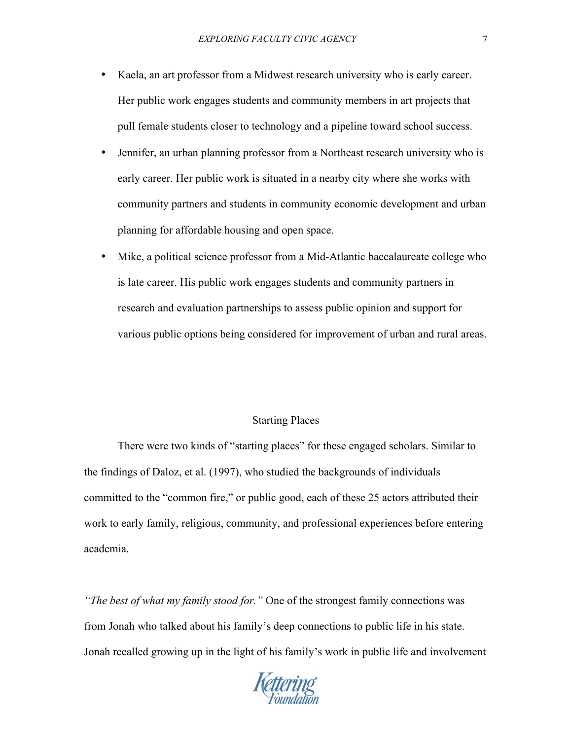- Kaela, an art professor from a Midwest research university who is early career. Her public work engages students and community members in art projects that pull female students closer to technology and a pipeline toward school success.
- Jennifer, an urban planning professor from a Northeast research university who is early career. Her public work is situated in a nearby city where she works with community partners and students in community economic development and urban planning for affordable housing and open space.
- Mike, a political science professor from a Mid-Atlantic baccalaureate college who is late career. His public work engages students and community partners in research and evaluation partnerships to assess public opinion and support for various public options being considered for improvement of urban and rural areas.

# Starting Places

There were two kinds of "starting places" for these engaged scholars. Similar to the findings of Daloz, et al. (1997), who studied the backgrounds of individuals committed to the "common fire," or public good, each of these 25 actors attributed their work to early family, religious, community, and professional experiences before entering academia.

*"The best of what my family stood for."* One of the strongest family connections was from Jonah who talked about his family's deep connections to public life in his state. Jonah recalled growing up in the light of his family's work in public life and involvement

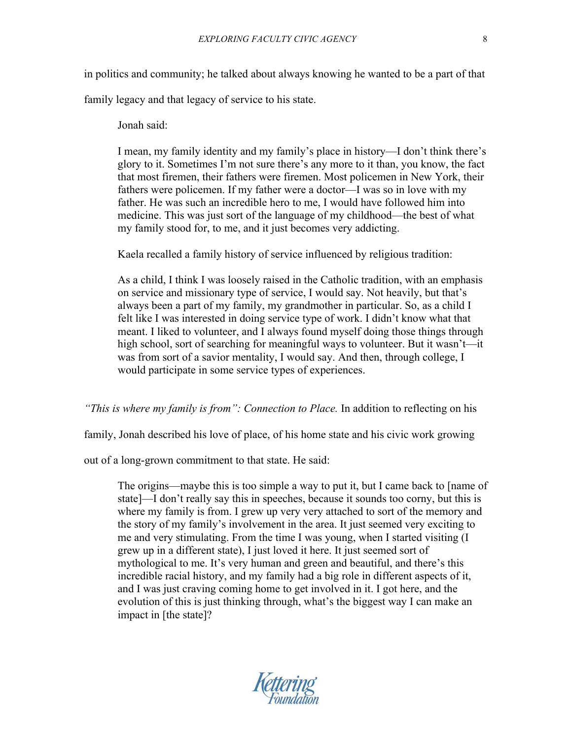in politics and community; he talked about always knowing he wanted to be a part of that

family legacy and that legacy of service to his state.

Jonah said:

I mean, my family identity and my family's place in history—I don't think there's glory to it. Sometimes I'm not sure there's any more to it than, you know, the fact that most firemen, their fathers were firemen. Most policemen in New York, their fathers were policemen. If my father were a doctor—I was so in love with my father. He was such an incredible hero to me, I would have followed him into medicine. This was just sort of the language of my childhood—the best of what my family stood for, to me, and it just becomes very addicting.

Kaela recalled a family history of service influenced by religious tradition:

As a child, I think I was loosely raised in the Catholic tradition, with an emphasis on service and missionary type of service, I would say. Not heavily, but that's always been a part of my family, my grandmother in particular. So, as a child I felt like I was interested in doing service type of work. I didn't know what that meant. I liked to volunteer, and I always found myself doing those things through high school, sort of searching for meaningful ways to volunteer. But it wasn't—it was from sort of a savior mentality, I would say. And then, through college, I would participate in some service types of experiences.

*"This is where my family is from": Connection to Place.* In addition to reflecting on his

family, Jonah described his love of place, of his home state and his civic work growing

out of a long-grown commitment to that state. He said:

The origins—maybe this is too simple a way to put it, but I came back to [name of state]—I don't really say this in speeches, because it sounds too corny, but this is where my family is from. I grew up very very attached to sort of the memory and the story of my family's involvement in the area. It just seemed very exciting to me and very stimulating. From the time I was young, when I started visiting (I grew up in a different state), I just loved it here. It just seemed sort of mythological to me. It's very human and green and beautiful, and there's this incredible racial history, and my family had a big role in different aspects of it, and I was just craving coming home to get involved in it. I got here, and the evolution of this is just thinking through, what's the biggest way I can make an impact in [the state]?

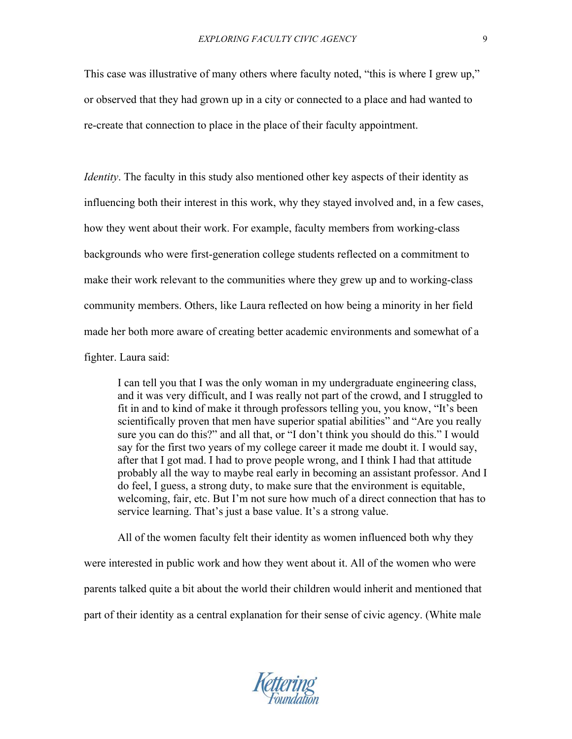This case was illustrative of many others where faculty noted, "this is where I grew up," or observed that they had grown up in a city or connected to a place and had wanted to re-create that connection to place in the place of their faculty appointment.

*Identity*. The faculty in this study also mentioned other key aspects of their identity as influencing both their interest in this work, why they stayed involved and, in a few cases, how they went about their work. For example, faculty members from working-class backgrounds who were first-generation college students reflected on a commitment to make their work relevant to the communities where they grew up and to working-class community members. Others, like Laura reflected on how being a minority in her field made her both more aware of creating better academic environments and somewhat of a fighter. Laura said:

I can tell you that I was the only woman in my undergraduate engineering class, and it was very difficult, and I was really not part of the crowd, and I struggled to fit in and to kind of make it through professors telling you, you know, "It's been scientifically proven that men have superior spatial abilities" and "Are you really sure you can do this?" and all that, or "I don't think you should do this." I would say for the first two years of my college career it made me doubt it. I would say, after that I got mad. I had to prove people wrong, and I think I had that attitude probably all the way to maybe real early in becoming an assistant professor. And I do feel, I guess, a strong duty, to make sure that the environment is equitable, welcoming, fair, etc. But I'm not sure how much of a direct connection that has to service learning. That's just a base value. It's a strong value.

All of the women faculty felt their identity as women influenced both why they were interested in public work and how they went about it. All of the women who were parents talked quite a bit about the world their children would inherit and mentioned that part of their identity as a central explanation for their sense of civic agency. (White male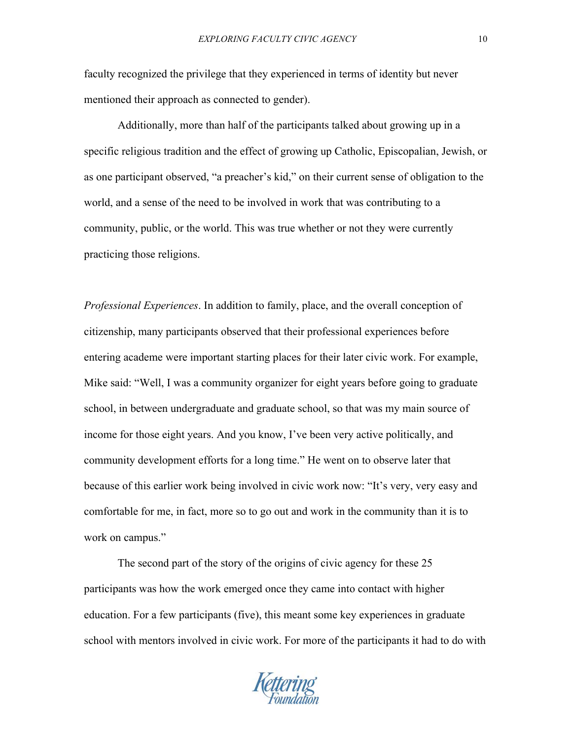faculty recognized the privilege that they experienced in terms of identity but never mentioned their approach as connected to gender).

Additionally, more than half of the participants talked about growing up in a specific religious tradition and the effect of growing up Catholic, Episcopalian, Jewish, or as one participant observed, "a preacher's kid," on their current sense of obligation to the world, and a sense of the need to be involved in work that was contributing to a community, public, or the world. This was true whether or not they were currently practicing those religions.

*Professional Experiences*. In addition to family, place, and the overall conception of citizenship, many participants observed that their professional experiences before entering academe were important starting places for their later civic work. For example, Mike said: "Well, I was a community organizer for eight years before going to graduate school, in between undergraduate and graduate school, so that was my main source of income for those eight years. And you know, I've been very active politically, and community development efforts for a long time." He went on to observe later that because of this earlier work being involved in civic work now: "It's very, very easy and comfortable for me, in fact, more so to go out and work in the community than it is to work on campus."

The second part of the story of the origins of civic agency for these 25 participants was how the work emerged once they came into contact with higher education. For a few participants (five), this meant some key experiences in graduate school with mentors involved in civic work. For more of the participants it had to do with

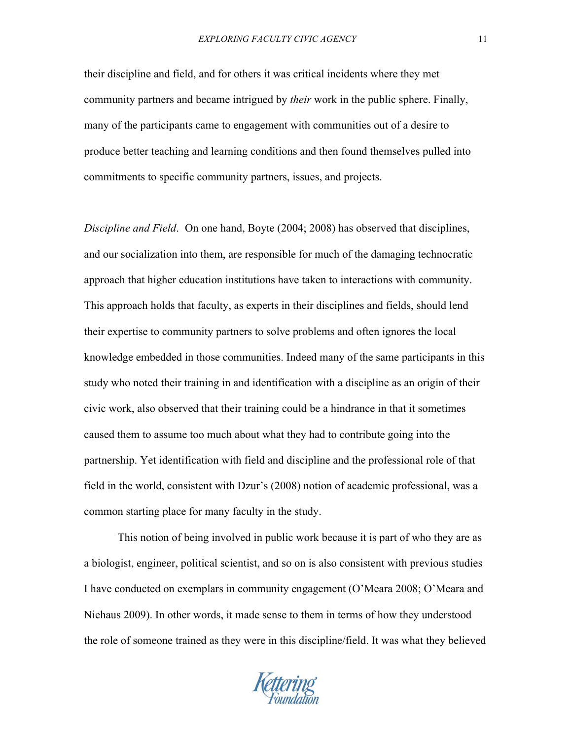their discipline and field, and for others it was critical incidents where they met community partners and became intrigued by *their* work in the public sphere. Finally, many of the participants came to engagement with communities out of a desire to produce better teaching and learning conditions and then found themselves pulled into commitments to specific community partners, issues, and projects.

*Discipline and Field*. On one hand, Boyte (2004; 2008) has observed that disciplines, and our socialization into them, are responsible for much of the damaging technocratic approach that higher education institutions have taken to interactions with community. This approach holds that faculty, as experts in their disciplines and fields, should lend their expertise to community partners to solve problems and often ignores the local knowledge embedded in those communities. Indeed many of the same participants in this study who noted their training in and identification with a discipline as an origin of their civic work, also observed that their training could be a hindrance in that it sometimes caused them to assume too much about what they had to contribute going into the partnership. Yet identification with field and discipline and the professional role of that field in the world, consistent with Dzur's (2008) notion of academic professional, was a common starting place for many faculty in the study.

This notion of being involved in public work because it is part of who they are as a biologist, engineer, political scientist, and so on is also consistent with previous studies I have conducted on exemplars in community engagement (O'Meara 2008; O'Meara and Niehaus 2009). In other words, it made sense to them in terms of how they understood the role of someone trained as they were in this discipline/field. It was what they believed

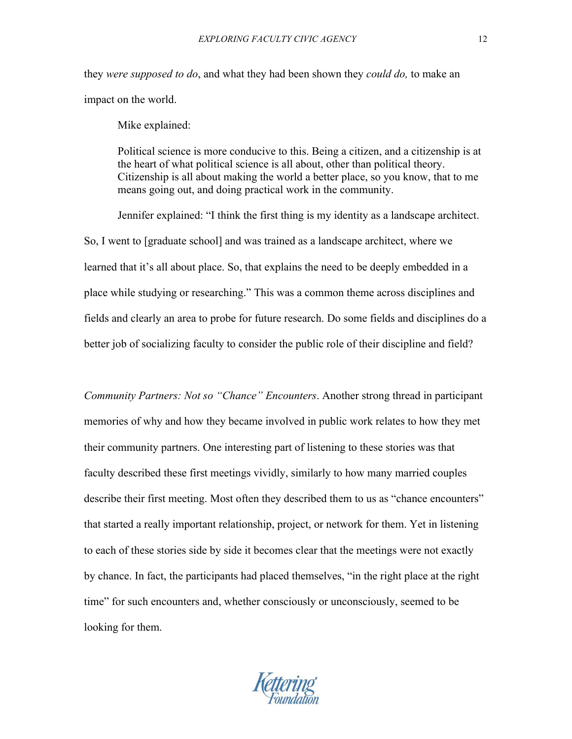they *were supposed to do*, and what they had been shown they *could do,* to make an impact on the world.

Mike explained:

Political science is more conducive to this. Being a citizen, and a citizenship is at the heart of what political science is all about, other than political theory. Citizenship is all about making the world a better place, so you know, that to me means going out, and doing practical work in the community.

Jennifer explained: "I think the first thing is my identity as a landscape architect. So, I went to [graduate school] and was trained as a landscape architect, where we learned that it's all about place. So, that explains the need to be deeply embedded in a place while studying or researching." This was a common theme across disciplines and fields and clearly an area to probe for future research. Do some fields and disciplines do a better job of socializing faculty to consider the public role of their discipline and field?

*Community Partners: Not so "Chance" Encounters*. Another strong thread in participant memories of why and how they became involved in public work relates to how they met their community partners. One interesting part of listening to these stories was that faculty described these first meetings vividly, similarly to how many married couples describe their first meeting. Most often they described them to us as "chance encounters" that started a really important relationship, project, or network for them. Yet in listening to each of these stories side by side it becomes clear that the meetings were not exactly by chance. In fact, the participants had placed themselves, "in the right place at the right time" for such encounters and, whether consciously or unconsciously, seemed to be looking for them.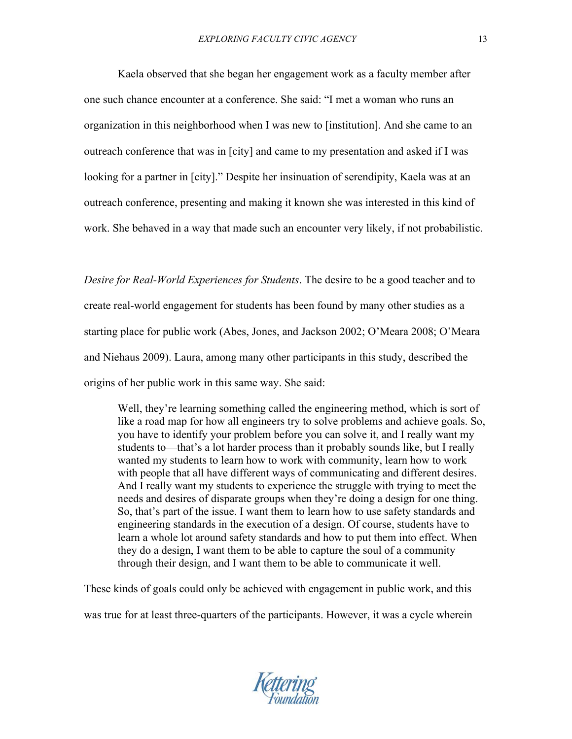Kaela observed that she began her engagement work as a faculty member after one such chance encounter at a conference. She said: "I met a woman who runs an organization in this neighborhood when I was new to [institution]. And she came to an outreach conference that was in [city] and came to my presentation and asked if I was looking for a partner in [city]." Despite her insinuation of serendipity, Kaela was at an outreach conference, presenting and making it known she was interested in this kind of work. She behaved in a way that made such an encounter very likely, if not probabilistic.

*Desire for Real-World Experiences for Students*. The desire to be a good teacher and to create real-world engagement for students has been found by many other studies as a starting place for public work (Abes, Jones, and Jackson 2002; O'Meara 2008; O'Meara and Niehaus 2009). Laura, among many other participants in this study, described the origins of her public work in this same way. She said:

Well, they're learning something called the engineering method, which is sort of like a road map for how all engineers try to solve problems and achieve goals. So, you have to identify your problem before you can solve it, and I really want my students to—that's a lot harder process than it probably sounds like, but I really wanted my students to learn how to work with community, learn how to work with people that all have different ways of communicating and different desires. And I really want my students to experience the struggle with trying to meet the needs and desires of disparate groups when they're doing a design for one thing. So, that's part of the issue. I want them to learn how to use safety standards and engineering standards in the execution of a design. Of course, students have to learn a whole lot around safety standards and how to put them into effect. When they do a design, I want them to be able to capture the soul of a community through their design, and I want them to be able to communicate it well.

These kinds of goals could only be achieved with engagement in public work, and this was true for at least three-quarters of the participants. However, it was a cycle wherein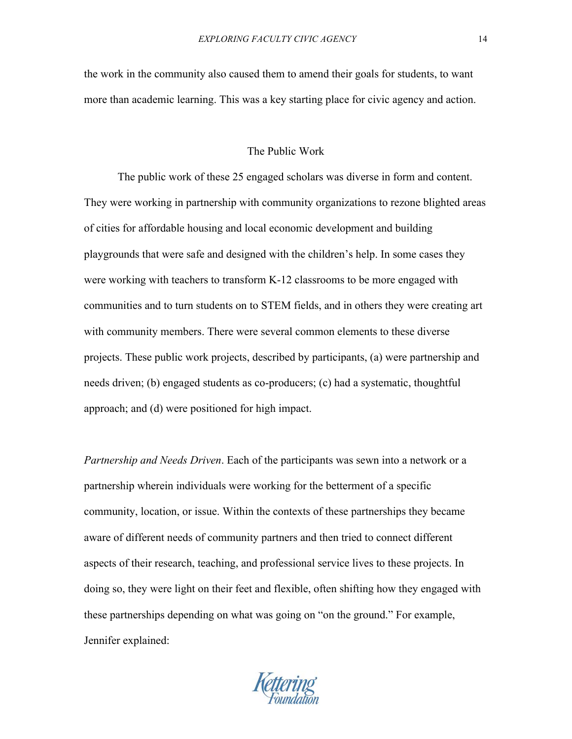the work in the community also caused them to amend their goals for students, to want more than academic learning. This was a key starting place for civic agency and action.

## The Public Work

The public work of these 25 engaged scholars was diverse in form and content. They were working in partnership with community organizations to rezone blighted areas of cities for affordable housing and local economic development and building playgrounds that were safe and designed with the children's help. In some cases they were working with teachers to transform K-12 classrooms to be more engaged with communities and to turn students on to STEM fields, and in others they were creating art with community members. There were several common elements to these diverse projects. These public work projects, described by participants, (a) were partnership and needs driven; (b) engaged students as co-producers; (c) had a systematic, thoughtful approach; and (d) were positioned for high impact.

*Partnership and Needs Driven*. Each of the participants was sewn into a network or a partnership wherein individuals were working for the betterment of a specific community, location, or issue. Within the contexts of these partnerships they became aware of different needs of community partners and then tried to connect different aspects of their research, teaching, and professional service lives to these projects. In doing so, they were light on their feet and flexible, often shifting how they engaged with these partnerships depending on what was going on "on the ground." For example, Jennifer explained:

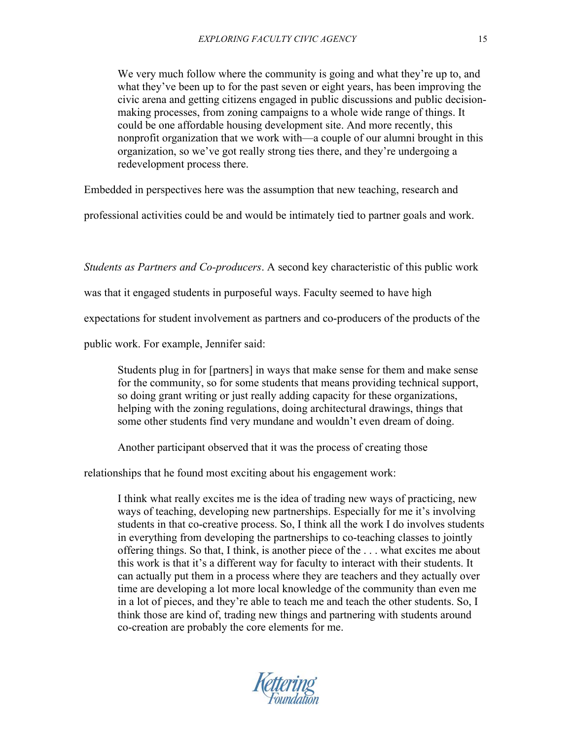We very much follow where the community is going and what they're up to, and what they've been up to for the past seven or eight years, has been improving the civic arena and getting citizens engaged in public discussions and public decisionmaking processes, from zoning campaigns to a whole wide range of things. It could be one affordable housing development site. And more recently, this nonprofit organization that we work with—a couple of our alumni brought in this organization, so we've got really strong ties there, and they're undergoing a redevelopment process there.

Embedded in perspectives here was the assumption that new teaching, research and

professional activities could be and would be intimately tied to partner goals and work.

*Students as Partners and Co-producers*. A second key characteristic of this public work

was that it engaged students in purposeful ways. Faculty seemed to have high

expectations for student involvement as partners and co-producers of the products of the

public work. For example, Jennifer said:

Students plug in for [partners] in ways that make sense for them and make sense for the community, so for some students that means providing technical support, so doing grant writing or just really adding capacity for these organizations, helping with the zoning regulations, doing architectural drawings, things that some other students find very mundane and wouldn't even dream of doing.

Another participant observed that it was the process of creating those

relationships that he found most exciting about his engagement work:

I think what really excites me is the idea of trading new ways of practicing, new ways of teaching, developing new partnerships. Especially for me it's involving students in that co-creative process. So, I think all the work I do involves students in everything from developing the partnerships to co-teaching classes to jointly offering things. So that, I think, is another piece of the . . . what excites me about this work is that it's a different way for faculty to interact with their students. It can actually put them in a process where they are teachers and they actually over time are developing a lot more local knowledge of the community than even me in a lot of pieces, and they're able to teach me and teach the other students. So, I think those are kind of, trading new things and partnering with students around co-creation are probably the core elements for me.

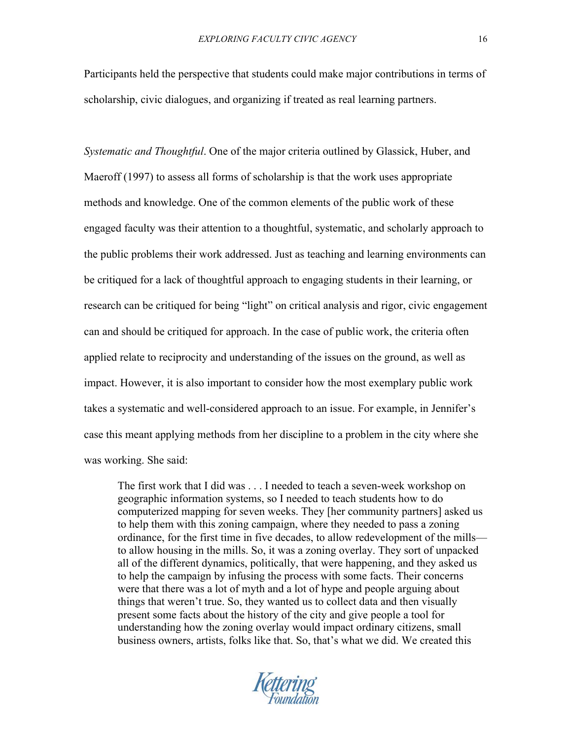Participants held the perspective that students could make major contributions in terms of scholarship, civic dialogues, and organizing if treated as real learning partners.

*Systematic and Thoughtful*. One of the major criteria outlined by Glassick, Huber, and Maeroff (1997) to assess all forms of scholarship is that the work uses appropriate methods and knowledge. One of the common elements of the public work of these engaged faculty was their attention to a thoughtful, systematic, and scholarly approach to the public problems their work addressed. Just as teaching and learning environments can be critiqued for a lack of thoughtful approach to engaging students in their learning, or research can be critiqued for being "light" on critical analysis and rigor, civic engagement can and should be critiqued for approach. In the case of public work, the criteria often applied relate to reciprocity and understanding of the issues on the ground, as well as impact. However, it is also important to consider how the most exemplary public work takes a systematic and well-considered approach to an issue. For example, in Jennifer's case this meant applying methods from her discipline to a problem in the city where she was working. She said:

The first work that I did was . . . I needed to teach a seven-week workshop on geographic information systems, so I needed to teach students how to do computerized mapping for seven weeks. They [her community partners] asked us to help them with this zoning campaign, where they needed to pass a zoning ordinance, for the first time in five decades, to allow redevelopment of the mills to allow housing in the mills. So, it was a zoning overlay. They sort of unpacked all of the different dynamics, politically, that were happening, and they asked us to help the campaign by infusing the process with some facts. Their concerns were that there was a lot of myth and a lot of hype and people arguing about things that weren't true. So, they wanted us to collect data and then visually present some facts about the history of the city and give people a tool for understanding how the zoning overlay would impact ordinary citizens, small business owners, artists, folks like that. So, that's what we did. We created this

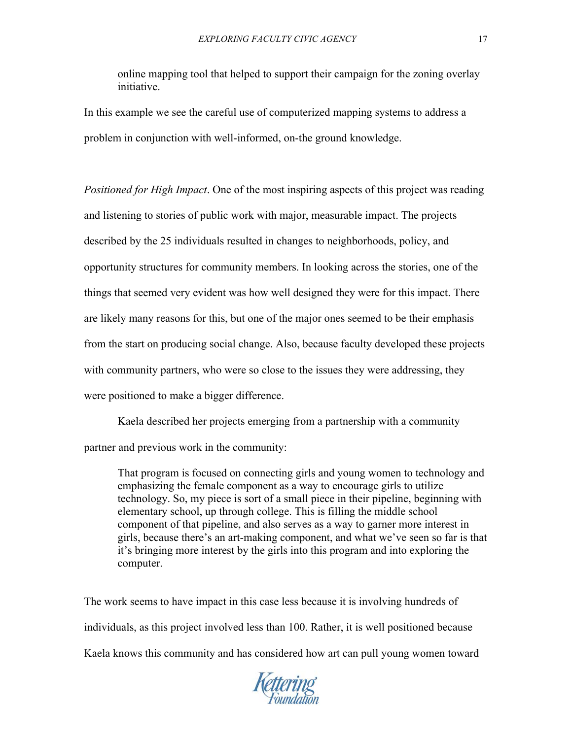online mapping tool that helped to support their campaign for the zoning overlay initiative.

In this example we see the careful use of computerized mapping systems to address a problem in conjunction with well-informed, on-the ground knowledge.

*Positioned for High Impact*. One of the most inspiring aspects of this project was reading and listening to stories of public work with major, measurable impact. The projects described by the 25 individuals resulted in changes to neighborhoods, policy, and opportunity structures for community members. In looking across the stories, one of the things that seemed very evident was how well designed they were for this impact. There are likely many reasons for this, but one of the major ones seemed to be their emphasis from the start on producing social change. Also, because faculty developed these projects with community partners, who were so close to the issues they were addressing, they were positioned to make a bigger difference.

Kaela described her projects emerging from a partnership with a community partner and previous work in the community:

That program is focused on connecting girls and young women to technology and emphasizing the female component as a way to encourage girls to utilize technology. So, my piece is sort of a small piece in their pipeline, beginning with elementary school, up through college. This is filling the middle school component of that pipeline, and also serves as a way to garner more interest in girls, because there's an art-making component, and what we've seen so far is that it's bringing more interest by the girls into this program and into exploring the computer.

The work seems to have impact in this case less because it is involving hundreds of individuals, as this project involved less than 100. Rather, it is well positioned because Kaela knows this community and has considered how art can pull young women toward

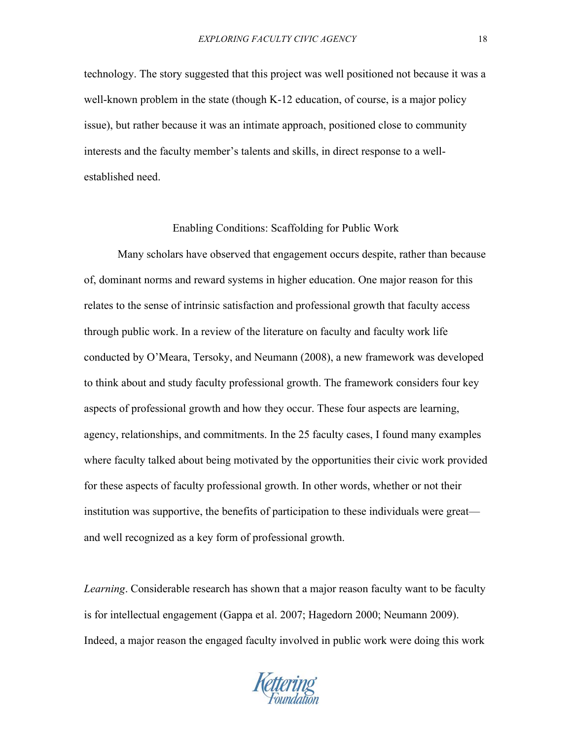technology. The story suggested that this project was well positioned not because it was a well-known problem in the state (though K-12 education, of course, is a major policy issue), but rather because it was an intimate approach, positioned close to community interests and the faculty member's talents and skills, in direct response to a wellestablished need.

#### Enabling Conditions: Scaffolding for Public Work

Many scholars have observed that engagement occurs despite, rather than because of, dominant norms and reward systems in higher education. One major reason for this relates to the sense of intrinsic satisfaction and professional growth that faculty access through public work. In a review of the literature on faculty and faculty work life conducted by O'Meara, Tersoky, and Neumann (2008), a new framework was developed to think about and study faculty professional growth. The framework considers four key aspects of professional growth and how they occur. These four aspects are learning, agency, relationships, and commitments. In the 25 faculty cases, I found many examples where faculty talked about being motivated by the opportunities their civic work provided for these aspects of faculty professional growth. In other words, whether or not their institution was supportive, the benefits of participation to these individuals were great and well recognized as a key form of professional growth.

*Learning*. Considerable research has shown that a major reason faculty want to be faculty is for intellectual engagement (Gappa et al. 2007; Hagedorn 2000; Neumann 2009). Indeed, a major reason the engaged faculty involved in public work were doing this work

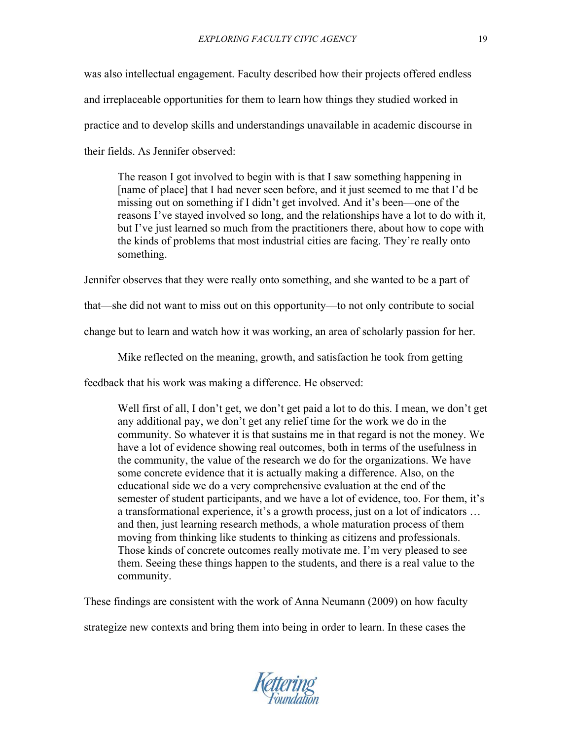was also intellectual engagement. Faculty described how their projects offered endless and irreplaceable opportunities for them to learn how things they studied worked in practice and to develop skills and understandings unavailable in academic discourse in their fields. As Jennifer observed:

The reason I got involved to begin with is that I saw something happening in [name of place] that I had never seen before, and it just seemed to me that I'd be missing out on something if I didn't get involved. And it's been—one of the reasons I've stayed involved so long, and the relationships have a lot to do with it, but I've just learned so much from the practitioners there, about how to cope with the kinds of problems that most industrial cities are facing. They're really onto something.

Jennifer observes that they were really onto something, and she wanted to be a part of

that—she did not want to miss out on this opportunity—to not only contribute to social

change but to learn and watch how it was working, an area of scholarly passion for her.

Mike reflected on the meaning, growth, and satisfaction he took from getting

feedback that his work was making a difference. He observed:

Well first of all, I don't get, we don't get paid a lot to do this. I mean, we don't get any additional pay, we don't get any relief time for the work we do in the community. So whatever it is that sustains me in that regard is not the money. We have a lot of evidence showing real outcomes, both in terms of the usefulness in the community, the value of the research we do for the organizations. We have some concrete evidence that it is actually making a difference. Also, on the educational side we do a very comprehensive evaluation at the end of the semester of student participants, and we have a lot of evidence, too. For them, it's a transformational experience, it's a growth process, just on a lot of indicators … and then, just learning research methods, a whole maturation process of them moving from thinking like students to thinking as citizens and professionals. Those kinds of concrete outcomes really motivate me. I'm very pleased to see them. Seeing these things happen to the students, and there is a real value to the community.

These findings are consistent with the work of Anna Neumann (2009) on how faculty

strategize new contexts and bring them into being in order to learn. In these cases the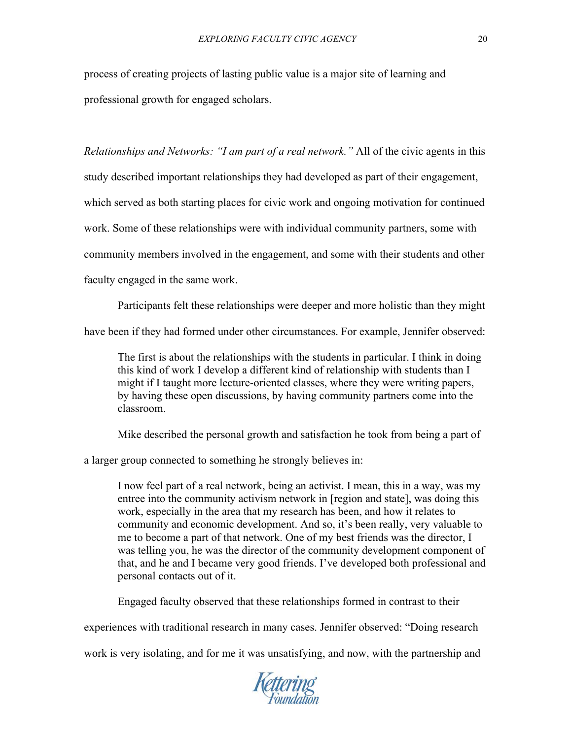process of creating projects of lasting public value is a major site of learning and professional growth for engaged scholars.

*Relationships and Networks: "I am part of a real network."* All of the civic agents in this study described important relationships they had developed as part of their engagement, which served as both starting places for civic work and ongoing motivation for continued work. Some of these relationships were with individual community partners, some with community members involved in the engagement, and some with their students and other faculty engaged in the same work.

Participants felt these relationships were deeper and more holistic than they might have been if they had formed under other circumstances. For example, Jennifer observed:

The first is about the relationships with the students in particular. I think in doing this kind of work I develop a different kind of relationship with students than I might if I taught more lecture-oriented classes, where they were writing papers, by having these open discussions, by having community partners come into the classroom.

Mike described the personal growth and satisfaction he took from being a part of

a larger group connected to something he strongly believes in:

I now feel part of a real network, being an activist. I mean, this in a way, was my entree into the community activism network in [region and state], was doing this work, especially in the area that my research has been, and how it relates to community and economic development. And so, it's been really, very valuable to me to become a part of that network. One of my best friends was the director, I was telling you, he was the director of the community development component of that, and he and I became very good friends. I've developed both professional and personal contacts out of it.

Engaged faculty observed that these relationships formed in contrast to their

experiences with traditional research in many cases. Jennifer observed: "Doing research

work is very isolating, and for me it was unsatisfying, and now, with the partnership and

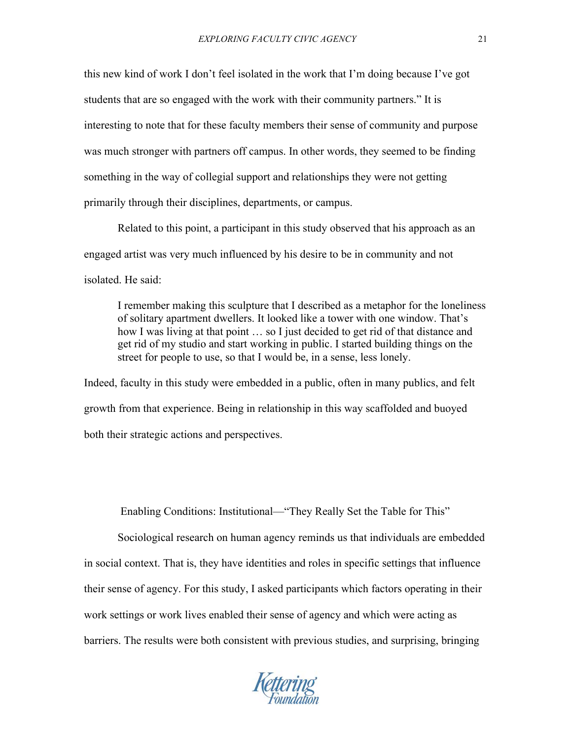this new kind of work I don't feel isolated in the work that I'm doing because I've got students that are so engaged with the work with their community partners." It is interesting to note that for these faculty members their sense of community and purpose was much stronger with partners off campus. In other words, they seemed to be finding something in the way of collegial support and relationships they were not getting primarily through their disciplines, departments, or campus.

Related to this point, a participant in this study observed that his approach as an engaged artist was very much influenced by his desire to be in community and not isolated. He said:

I remember making this sculpture that I described as a metaphor for the loneliness of solitary apartment dwellers. It looked like a tower with one window. That's how I was living at that point ... so I just decided to get rid of that distance and get rid of my studio and start working in public. I started building things on the street for people to use, so that I would be, in a sense, less lonely.

Indeed, faculty in this study were embedded in a public, often in many publics, and felt growth from that experience. Being in relationship in this way scaffolded and buoyed both their strategic actions and perspectives.

Enabling Conditions: Institutional—"They Really Set the Table for This"

Sociological research on human agency reminds us that individuals are embedded in social context. That is, they have identities and roles in specific settings that influence their sense of agency. For this study, I asked participants which factors operating in their work settings or work lives enabled their sense of agency and which were acting as barriers. The results were both consistent with previous studies, and surprising, bringing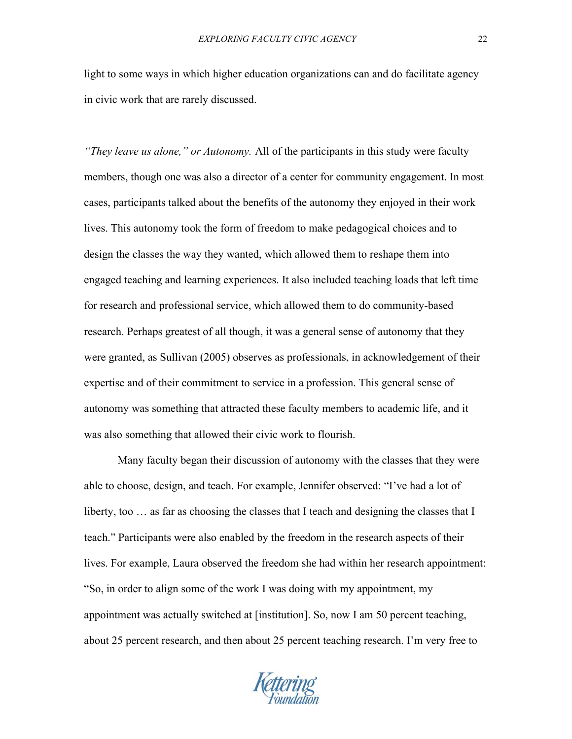light to some ways in which higher education organizations can and do facilitate agency in civic work that are rarely discussed.

*"They leave us alone," or Autonomy.* All of the participants in this study were faculty members, though one was also a director of a center for community engagement. In most cases, participants talked about the benefits of the autonomy they enjoyed in their work lives. This autonomy took the form of freedom to make pedagogical choices and to design the classes the way they wanted, which allowed them to reshape them into engaged teaching and learning experiences. It also included teaching loads that left time for research and professional service, which allowed them to do community-based research. Perhaps greatest of all though, it was a general sense of autonomy that they were granted, as Sullivan (2005) observes as professionals, in acknowledgement of their expertise and of their commitment to service in a profession. This general sense of autonomy was something that attracted these faculty members to academic life, and it was also something that allowed their civic work to flourish.

Many faculty began their discussion of autonomy with the classes that they were able to choose, design, and teach. For example, Jennifer observed: "I've had a lot of liberty, too … as far as choosing the classes that I teach and designing the classes that I teach." Participants were also enabled by the freedom in the research aspects of their lives. For example, Laura observed the freedom she had within her research appointment: "So, in order to align some of the work I was doing with my appointment, my appointment was actually switched at [institution]. So, now I am 50 percent teaching, about 25 percent research, and then about 25 percent teaching research. I'm very free to

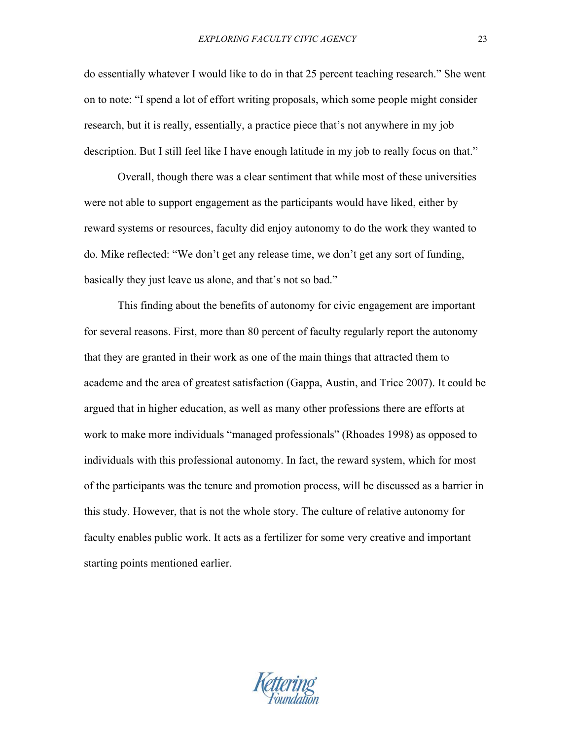do essentially whatever I would like to do in that 25 percent teaching research." She went on to note: "I spend a lot of effort writing proposals, which some people might consider research, but it is really, essentially, a practice piece that's not anywhere in my job description. But I still feel like I have enough latitude in my job to really focus on that."

Overall, though there was a clear sentiment that while most of these universities were not able to support engagement as the participants would have liked, either by reward systems or resources, faculty did enjoy autonomy to do the work they wanted to do. Mike reflected: "We don't get any release time, we don't get any sort of funding, basically they just leave us alone, and that's not so bad."

This finding about the benefits of autonomy for civic engagement are important for several reasons. First, more than 80 percent of faculty regularly report the autonomy that they are granted in their work as one of the main things that attracted them to academe and the area of greatest satisfaction (Gappa, Austin, and Trice 2007). It could be argued that in higher education, as well as many other professions there are efforts at work to make more individuals "managed professionals" (Rhoades 1998) as opposed to individuals with this professional autonomy. In fact, the reward system, which for most of the participants was the tenure and promotion process, will be discussed as a barrier in this study. However, that is not the whole story. The culture of relative autonomy for faculty enables public work. It acts as a fertilizer for some very creative and important starting points mentioned earlier.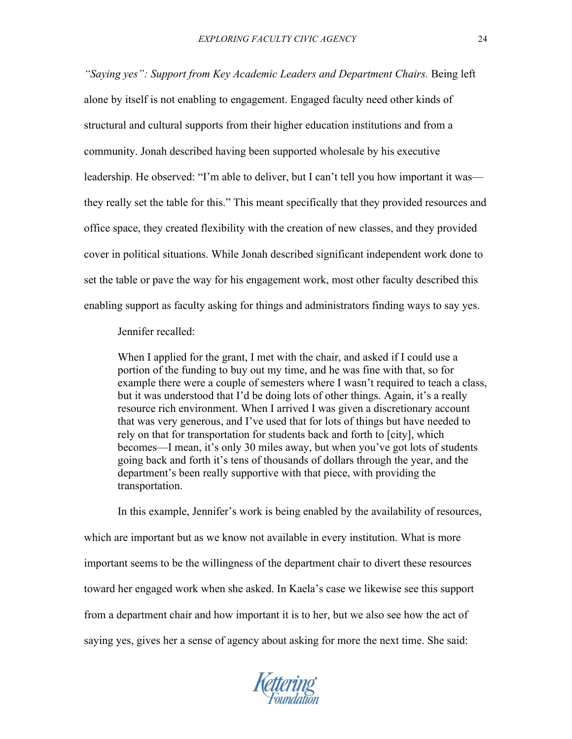*"Saying yes": Support from Key Academic Leaders and Department Chairs.* Being left alone by itself is not enabling to engagement. Engaged faculty need other kinds of structural and cultural supports from their higher education institutions and from a community. Jonah described having been supported wholesale by his executive leadership. He observed: "I'm able to deliver, but I can't tell you how important it was they really set the table for this." This meant specifically that they provided resources and office space, they created flexibility with the creation of new classes, and they provided cover in political situations. While Jonah described significant independent work done to set the table or pave the way for his engagement work, most other faculty described this enabling support as faculty asking for things and administrators finding ways to say yes.

Jennifer recalled:

When I applied for the grant, I met with the chair, and asked if I could use a portion of the funding to buy out my time, and he was fine with that, so for example there were a couple of semesters where I wasn't required to teach a class, but it was understood that I'd be doing lots of other things. Again, it's a really resource rich environment. When I arrived I was given a discretionary account that was very generous, and I've used that for lots of things but have needed to rely on that for transportation for students back and forth to [city], which becomes—I mean, it's only 30 miles away, but when you've got lots of students going back and forth it's tens of thousands of dollars through the year, and the department's been really supportive with that piece, with providing the transportation.

In this example, Jennifer's work is being enabled by the availability of resources, which are important but as we know not available in every institution. What is more important seems to be the willingness of the department chair to divert these resources toward her engaged work when she asked. In Kaela's case we likewise see this support from a department chair and how important it is to her, but we also see how the act of saying yes, gives her a sense of agency about asking for more the next time. She said:

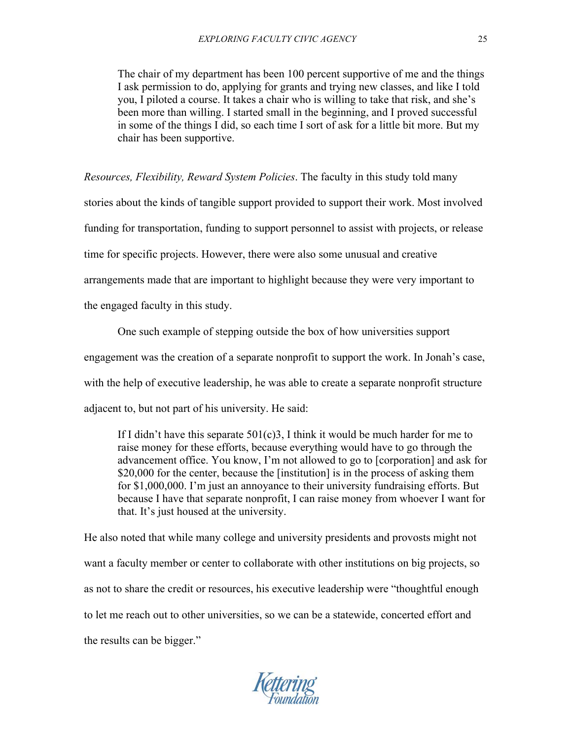The chair of my department has been 100 percent supportive of me and the things I ask permission to do, applying for grants and trying new classes, and like I told you, I piloted a course. It takes a chair who is willing to take that risk, and she's been more than willing. I started small in the beginning, and I proved successful in some of the things I did, so each time I sort of ask for a little bit more. But my chair has been supportive.

*Resources, Flexibility, Reward System Policies*. The faculty in this study told many

stories about the kinds of tangible support provided to support their work. Most involved

funding for transportation, funding to support personnel to assist with projects, or release

time for specific projects. However, there were also some unusual and creative

arrangements made that are important to highlight because they were very important to

the engaged faculty in this study.

One such example of stepping outside the box of how universities support engagement was the creation of a separate nonprofit to support the work. In Jonah's case, with the help of executive leadership, he was able to create a separate nonprofit structure adjacent to, but not part of his university. He said:

If I didn't have this separate  $501(c)3$ , I think it would be much harder for me to raise money for these efforts, because everything would have to go through the advancement office. You know, I'm not allowed to go to [corporation] and ask for \$20,000 for the center, because the [institution] is in the process of asking them for \$1,000,000. I'm just an annoyance to their university fundraising efforts. But because I have that separate nonprofit, I can raise money from whoever I want for that. It's just housed at the university.

He also noted that while many college and university presidents and provosts might not want a faculty member or center to collaborate with other institutions on big projects, so as not to share the credit or resources, his executive leadership were "thoughtful enough to let me reach out to other universities, so we can be a statewide, concerted effort and the results can be bigger."

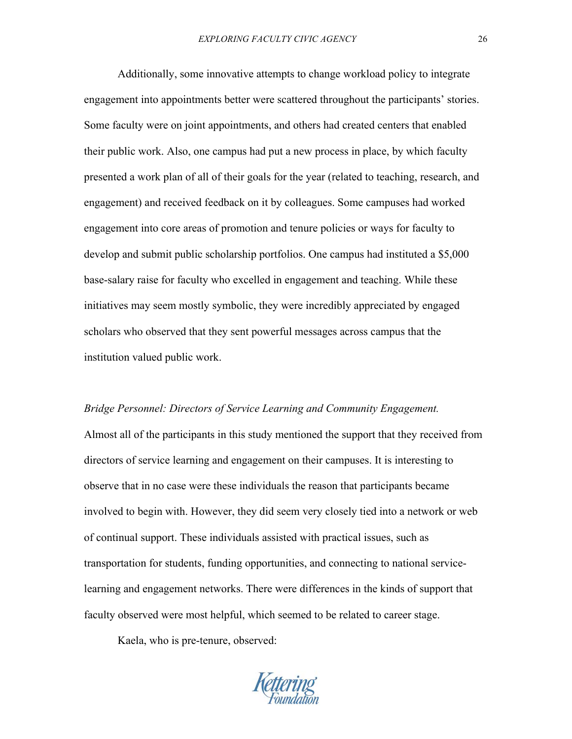Additionally, some innovative attempts to change workload policy to integrate engagement into appointments better were scattered throughout the participants' stories. Some faculty were on joint appointments, and others had created centers that enabled their public work. Also, one campus had put a new process in place, by which faculty presented a work plan of all of their goals for the year (related to teaching, research, and engagement) and received feedback on it by colleagues. Some campuses had worked engagement into core areas of promotion and tenure policies or ways for faculty to develop and submit public scholarship portfolios. One campus had instituted a \$5,000 base-salary raise for faculty who excelled in engagement and teaching. While these initiatives may seem mostly symbolic, they were incredibly appreciated by engaged scholars who observed that they sent powerful messages across campus that the institution valued public work.

#### *Bridge Personnel: Directors of Service Learning and Community Engagement.*

Almost all of the participants in this study mentioned the support that they received from directors of service learning and engagement on their campuses. It is interesting to observe that in no case were these individuals the reason that participants became involved to begin with. However, they did seem very closely tied into a network or web of continual support. These individuals assisted with practical issues, such as transportation for students, funding opportunities, and connecting to national servicelearning and engagement networks. There were differences in the kinds of support that faculty observed were most helpful, which seemed to be related to career stage.

Kaela, who is pre-tenure, observed:

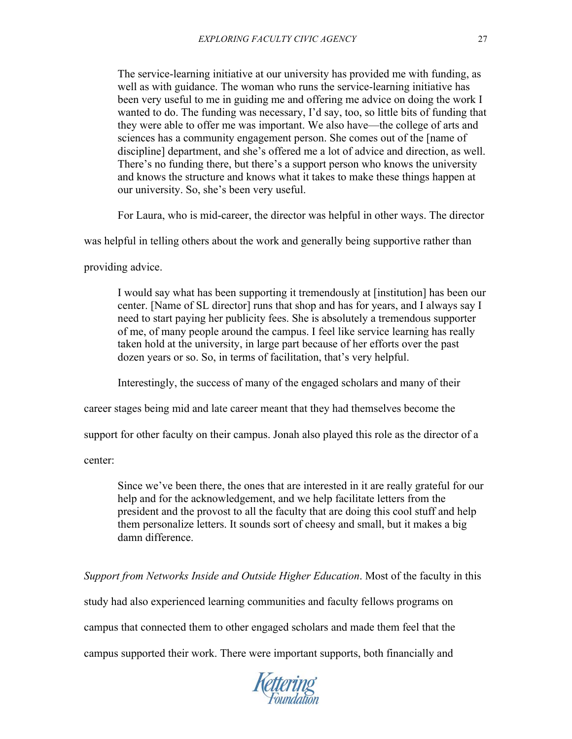The service-learning initiative at our university has provided me with funding, as well as with guidance. The woman who runs the service-learning initiative has been very useful to me in guiding me and offering me advice on doing the work I wanted to do. The funding was necessary, I'd say, too, so little bits of funding that they were able to offer me was important. We also have—the college of arts and sciences has a community engagement person. She comes out of the [name of discipline] department, and she's offered me a lot of advice and direction, as well. There's no funding there, but there's a support person who knows the university and knows the structure and knows what it takes to make these things happen at our university. So, she's been very useful.

For Laura, who is mid-career, the director was helpful in other ways. The director

was helpful in telling others about the work and generally being supportive rather than

providing advice.

I would say what has been supporting it tremendously at [institution] has been our center. [Name of SL director] runs that shop and has for years, and I always say I need to start paying her publicity fees. She is absolutely a tremendous supporter of me, of many people around the campus. I feel like service learning has really taken hold at the university, in large part because of her efforts over the past dozen years or so. So, in terms of facilitation, that's very helpful.

Interestingly, the success of many of the engaged scholars and many of their

career stages being mid and late career meant that they had themselves become the

support for other faculty on their campus. Jonah also played this role as the director of a

center:

Since we've been there, the ones that are interested in it are really grateful for our help and for the acknowledgement, and we help facilitate letters from the president and the provost to all the faculty that are doing this cool stuff and help them personalize letters. It sounds sort of cheesy and small, but it makes a big damn difference.

*Support from Networks Inside and Outside Higher Education*. Most of the faculty in this

study had also experienced learning communities and faculty fellows programs on

campus that connected them to other engaged scholars and made them feel that the

campus supported their work. There were important supports, both financially and

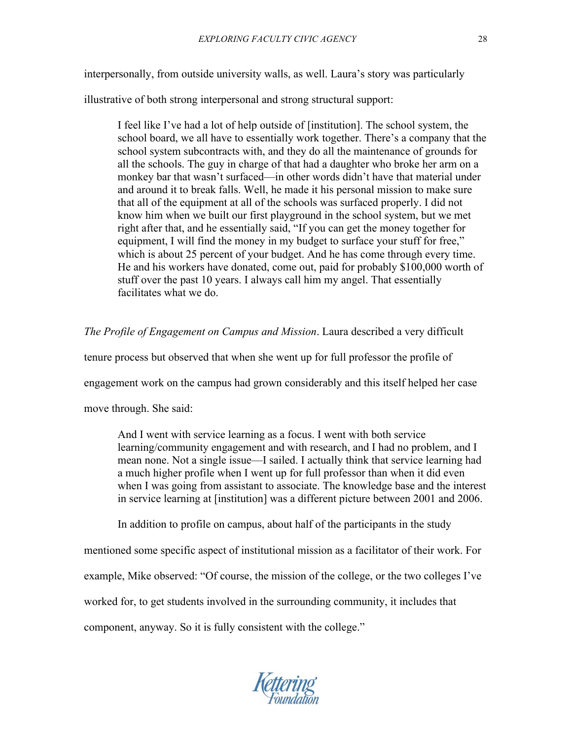interpersonally, from outside university walls, as well. Laura's story was particularly

illustrative of both strong interpersonal and strong structural support:

I feel like I've had a lot of help outside of [institution]. The school system, the school board, we all have to essentially work together. There's a company that the school system subcontracts with, and they do all the maintenance of grounds for all the schools. The guy in charge of that had a daughter who broke her arm on a monkey bar that wasn't surfaced—in other words didn't have that material under and around it to break falls. Well, he made it his personal mission to make sure that all of the equipment at all of the schools was surfaced properly. I did not know him when we built our first playground in the school system, but we met right after that, and he essentially said, "If you can get the money together for equipment, I will find the money in my budget to surface your stuff for free," which is about 25 percent of your budget. And he has come through every time. He and his workers have donated, come out, paid for probably \$100,000 worth of stuff over the past 10 years. I always call him my angel. That essentially facilitates what we do.

*The Profile of Engagement on Campus and Mission*. Laura described a very difficult

tenure process but observed that when she went up for full professor the profile of

engagement work on the campus had grown considerably and this itself helped her case

move through. She said:

And I went with service learning as a focus. I went with both service learning/community engagement and with research, and I had no problem, and I mean none. Not a single issue—I sailed. I actually think that service learning had a much higher profile when I went up for full professor than when it did even when I was going from assistant to associate. The knowledge base and the interest in service learning at [institution] was a different picture between 2001 and 2006.

In addition to profile on campus, about half of the participants in the study

mentioned some specific aspect of institutional mission as a facilitator of their work. For example, Mike observed: "Of course, the mission of the college, or the two colleges I've worked for, to get students involved in the surrounding community, it includes that component, anyway. So it is fully consistent with the college."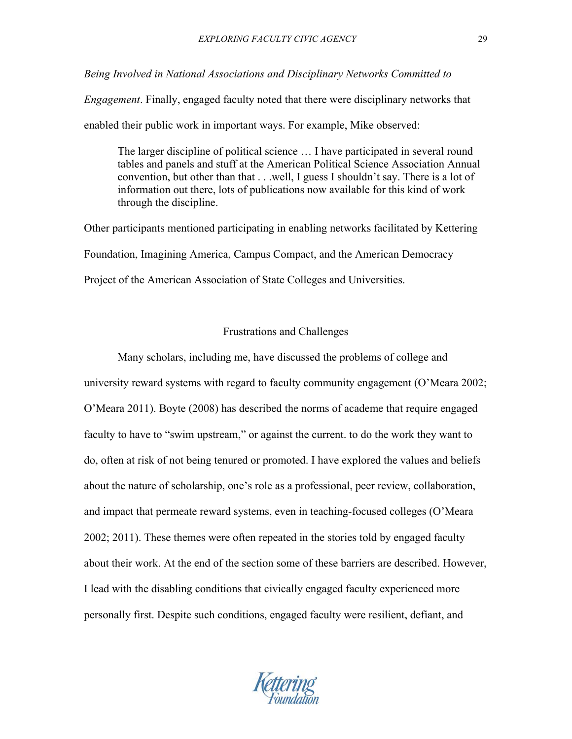## *Being Involved in National Associations and Disciplinary Networks Committed to*

*Engagement*. Finally, engaged faculty noted that there were disciplinary networks that enabled their public work in important ways. For example, Mike observed:

The larger discipline of political science … I have participated in several round tables and panels and stuff at the American Political Science Association Annual convention, but other than that . . .well, I guess I shouldn't say. There is a lot of information out there, lots of publications now available for this kind of work through the discipline.

Other participants mentioned participating in enabling networks facilitated by Kettering Foundation, Imagining America, Campus Compact, and the American Democracy Project of the American Association of State Colleges and Universities.

## Frustrations and Challenges

Many scholars, including me, have discussed the problems of college and university reward systems with regard to faculty community engagement (O'Meara 2002; O'Meara 2011). Boyte (2008) has described the norms of academe that require engaged faculty to have to "swim upstream," or against the current. to do the work they want to do, often at risk of not being tenured or promoted. I have explored the values and beliefs about the nature of scholarship, one's role as a professional, peer review, collaboration, and impact that permeate reward systems, even in teaching-focused colleges (O'Meara 2002; 2011). These themes were often repeated in the stories told by engaged faculty about their work. At the end of the section some of these barriers are described. However, I lead with the disabling conditions that civically engaged faculty experienced more personally first. Despite such conditions, engaged faculty were resilient, defiant, and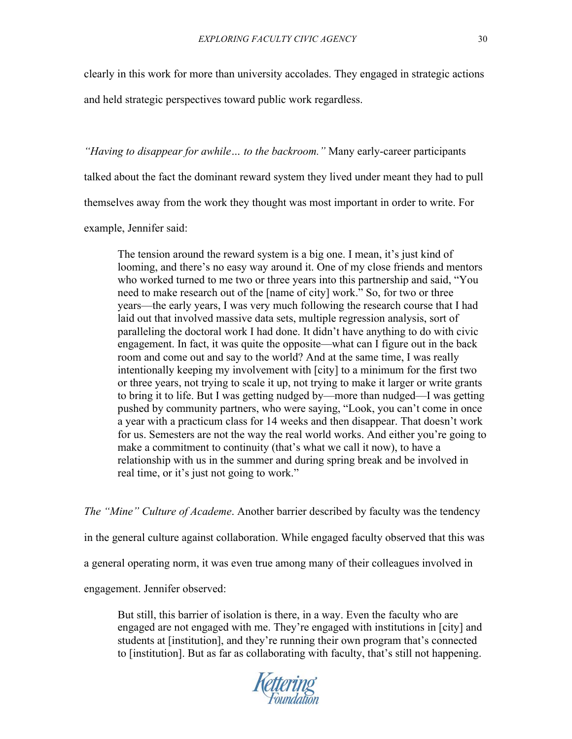clearly in this work for more than university accolades. They engaged in strategic actions

and held strategic perspectives toward public work regardless.

*"Having to disappear for awhile… to the backroom."* Many early-career participants

talked about the fact the dominant reward system they lived under meant they had to pull

themselves away from the work they thought was most important in order to write. For

example, Jennifer said:

The tension around the reward system is a big one. I mean, it's just kind of looming, and there's no easy way around it. One of my close friends and mentors who worked turned to me two or three years into this partnership and said, "You need to make research out of the [name of city] work." So, for two or three years—the early years, I was very much following the research course that I had laid out that involved massive data sets, multiple regression analysis, sort of paralleling the doctoral work I had done. It didn't have anything to do with civic engagement. In fact, it was quite the opposite—what can I figure out in the back room and come out and say to the world? And at the same time, I was really intentionally keeping my involvement with [city] to a minimum for the first two or three years, not trying to scale it up, not trying to make it larger or write grants to bring it to life. But I was getting nudged by—more than nudged—I was getting pushed by community partners, who were saying, "Look, you can't come in once a year with a practicum class for 14 weeks and then disappear. That doesn't work for us. Semesters are not the way the real world works. And either you're going to make a commitment to continuity (that's what we call it now), to have a relationship with us in the summer and during spring break and be involved in real time, or it's just not going to work."

*The "Mine" Culture of Academe*. Another barrier described by faculty was the tendency in the general culture against collaboration. While engaged faculty observed that this was a general operating norm, it was even true among many of their colleagues involved in engagement. Jennifer observed:

But still, this barrier of isolation is there, in a way. Even the faculty who are engaged are not engaged with me. They're engaged with institutions in [city] and students at [institution], and they're running their own program that's connected to [institution]. But as far as collaborating with faculty, that's still not happening.

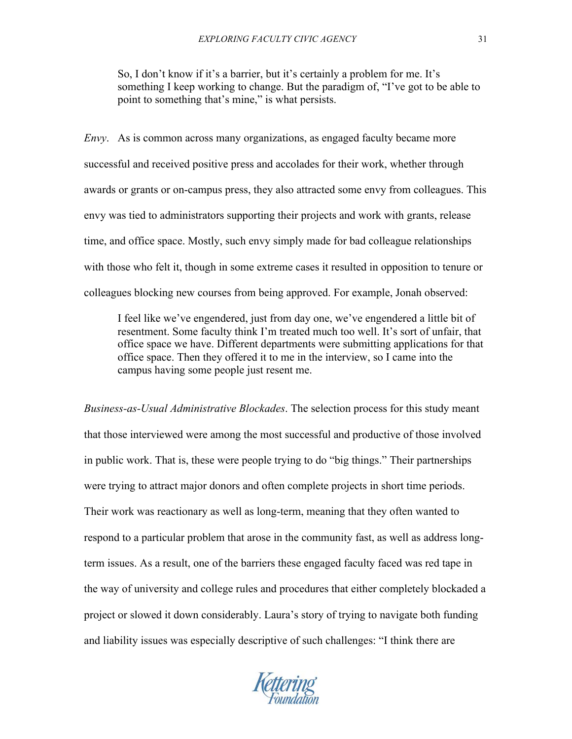So, I don't know if it's a barrier, but it's certainly a problem for me. It's something I keep working to change. But the paradigm of, "I've got to be able to point to something that's mine," is what persists.

*Envy*. As is common across many organizations, as engaged faculty became more successful and received positive press and accolades for their work, whether through awards or grants or on-campus press, they also attracted some envy from colleagues. This envy was tied to administrators supporting their projects and work with grants, release time, and office space. Mostly, such envy simply made for bad colleague relationships with those who felt it, though in some extreme cases it resulted in opposition to tenure or colleagues blocking new courses from being approved. For example, Jonah observed:

I feel like we've engendered, just from day one, we've engendered a little bit of resentment. Some faculty think I'm treated much too well. It's sort of unfair, that office space we have. Different departments were submitting applications for that office space. Then they offered it to me in the interview, so I came into the campus having some people just resent me.

*Business-as-Usual Administrative Blockades*. The selection process for this study meant that those interviewed were among the most successful and productive of those involved in public work. That is, these were people trying to do "big things." Their partnerships were trying to attract major donors and often complete projects in short time periods. Their work was reactionary as well as long-term, meaning that they often wanted to respond to a particular problem that arose in the community fast, as well as address longterm issues. As a result, one of the barriers these engaged faculty faced was red tape in the way of university and college rules and procedures that either completely blockaded a project or slowed it down considerably. Laura's story of trying to navigate both funding and liability issues was especially descriptive of such challenges: "I think there are

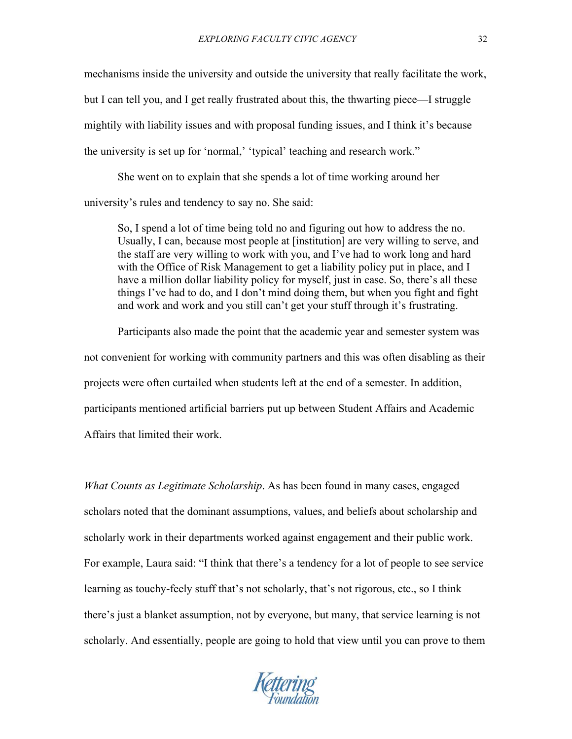mechanisms inside the university and outside the university that really facilitate the work, but I can tell you, and I get really frustrated about this, the thwarting piece—I struggle mightily with liability issues and with proposal funding issues, and I think it's because the university is set up for 'normal,' 'typical' teaching and research work."

She went on to explain that she spends a lot of time working around her university's rules and tendency to say no. She said:

So, I spend a lot of time being told no and figuring out how to address the no. Usually, I can, because most people at [institution] are very willing to serve, and the staff are very willing to work with you, and I've had to work long and hard with the Office of Risk Management to get a liability policy put in place, and I have a million dollar liability policy for myself, just in case. So, there's all these things I've had to do, and I don't mind doing them, but when you fight and fight and work and work and you still can't get your stuff through it's frustrating.

Participants also made the point that the academic year and semester system was not convenient for working with community partners and this was often disabling as their projects were often curtailed when students left at the end of a semester. In addition, participants mentioned artificial barriers put up between Student Affairs and Academic Affairs that limited their work.

*What Counts as Legitimate Scholarship*. As has been found in many cases, engaged scholars noted that the dominant assumptions, values, and beliefs about scholarship and scholarly work in their departments worked against engagement and their public work. For example, Laura said: "I think that there's a tendency for a lot of people to see service learning as touchy-feely stuff that's not scholarly, that's not rigorous, etc., so I think there's just a blanket assumption, not by everyone, but many, that service learning is not scholarly. And essentially, people are going to hold that view until you can prove to them

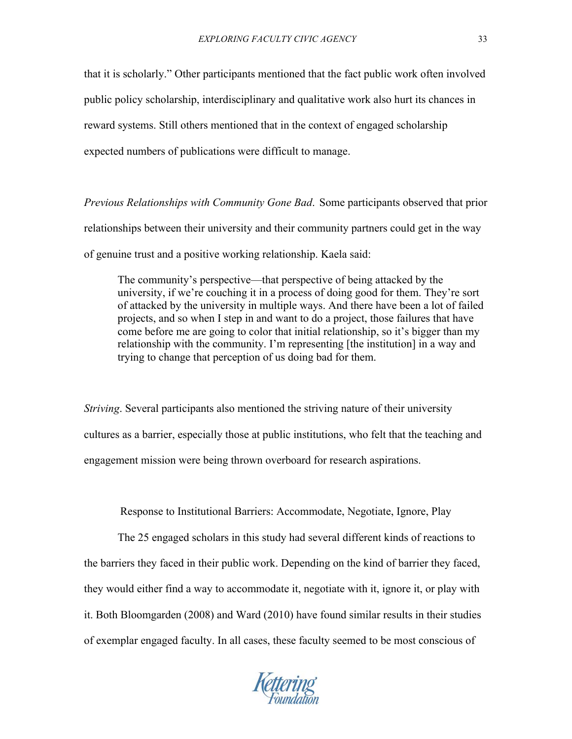that it is scholarly." Other participants mentioned that the fact public work often involved public policy scholarship, interdisciplinary and qualitative work also hurt its chances in reward systems. Still others mentioned that in the context of engaged scholarship expected numbers of publications were difficult to manage.

*Previous Relationships with Community Gone Bad*. Some participants observed that prior relationships between their university and their community partners could get in the way of genuine trust and a positive working relationship. Kaela said:

The community's perspective—that perspective of being attacked by the university, if we're couching it in a process of doing good for them. They're sort of attacked by the university in multiple ways. And there have been a lot of failed projects, and so when I step in and want to do a project, those failures that have come before me are going to color that initial relationship, so it's bigger than my relationship with the community. I'm representing [the institution] in a way and trying to change that perception of us doing bad for them.

*Striving*. Several participants also mentioned the striving nature of their university cultures as a barrier, especially those at public institutions, who felt that the teaching and engagement mission were being thrown overboard for research aspirations.

Response to Institutional Barriers: Accommodate, Negotiate, Ignore, Play

The 25 engaged scholars in this study had several different kinds of reactions to the barriers they faced in their public work. Depending on the kind of barrier they faced, they would either find a way to accommodate it, negotiate with it, ignore it, or play with it. Both Bloomgarden (2008) and Ward (2010) have found similar results in their studies of exemplar engaged faculty. In all cases, these faculty seemed to be most conscious of

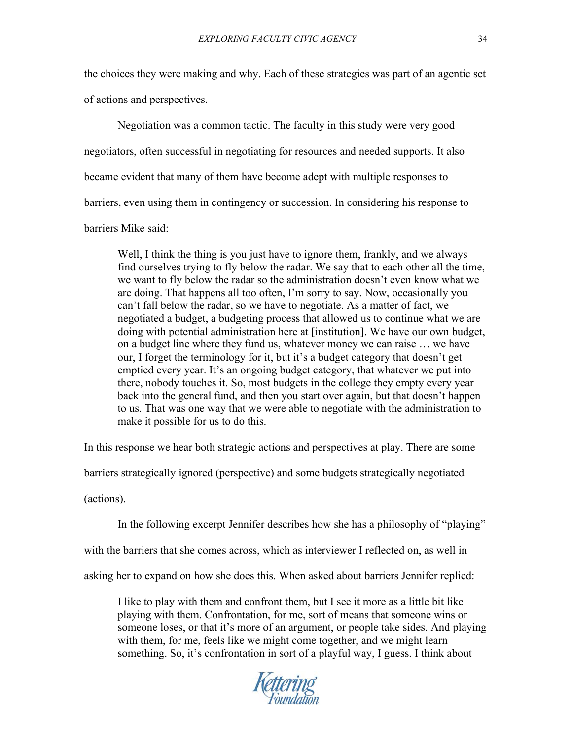the choices they were making and why. Each of these strategies was part of an agentic set of actions and perspectives.

Negotiation was a common tactic. The faculty in this study were very good negotiators, often successful in negotiating for resources and needed supports. It also became evident that many of them have become adept with multiple responses to barriers, even using them in contingency or succession. In considering his response to barriers Mike said:

Well, I think the thing is you just have to ignore them, frankly, and we always find ourselves trying to fly below the radar. We say that to each other all the time, we want to fly below the radar so the administration doesn't even know what we are doing. That happens all too often, I'm sorry to say. Now, occasionally you can't fall below the radar, so we have to negotiate. As a matter of fact, we negotiated a budget, a budgeting process that allowed us to continue what we are doing with potential administration here at [institution]. We have our own budget, on a budget line where they fund us, whatever money we can raise … we have our, I forget the terminology for it, but it's a budget category that doesn't get emptied every year. It's an ongoing budget category, that whatever we put into there, nobody touches it. So, most budgets in the college they empty every year back into the general fund, and then you start over again, but that doesn't happen to us. That was one way that we were able to negotiate with the administration to make it possible for us to do this.

In this response we hear both strategic actions and perspectives at play. There are some

barriers strategically ignored (perspective) and some budgets strategically negotiated

(actions).

In the following excerpt Jennifer describes how she has a philosophy of "playing"

with the barriers that she comes across, which as interviewer I reflected on, as well in

asking her to expand on how she does this. When asked about barriers Jennifer replied:

I like to play with them and confront them, but I see it more as a little bit like playing with them. Confrontation, for me, sort of means that someone wins or someone loses, or that it's more of an argument, or people take sides. And playing with them, for me, feels like we might come together, and we might learn something. So, it's confrontation in sort of a playful way, I guess. I think about

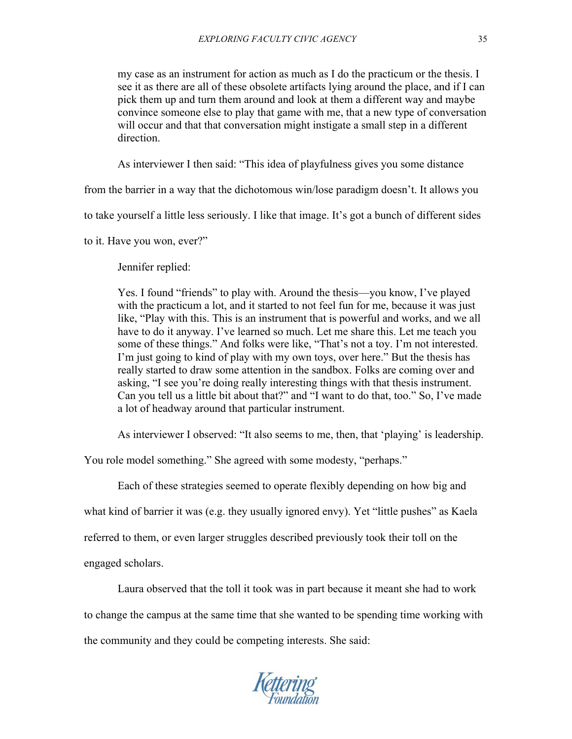my case as an instrument for action as much as I do the practicum or the thesis. I see it as there are all of these obsolete artifacts lying around the place, and if I can pick them up and turn them around and look at them a different way and maybe convince someone else to play that game with me, that a new type of conversation will occur and that that conversation might instigate a small step in a different direction.

As interviewer I then said: "This idea of playfulness gives you some distance

from the barrier in a way that the dichotomous win/lose paradigm doesn't. It allows you

to take yourself a little less seriously. I like that image. It's got a bunch of different sides

to it. Have you won, ever?"

Jennifer replied:

Yes. I found "friends" to play with. Around the thesis—you know, I've played with the practicum a lot, and it started to not feel fun for me, because it was just like, "Play with this. This is an instrument that is powerful and works, and we all have to do it anyway. I've learned so much. Let me share this. Let me teach you some of these things." And folks were like, "That's not a toy. I'm not interested. I'm just going to kind of play with my own toys, over here." But the thesis has really started to draw some attention in the sandbox. Folks are coming over and asking, "I see you're doing really interesting things with that thesis instrument. Can you tell us a little bit about that?" and "I want to do that, too." So, I've made a lot of headway around that particular instrument.

As interviewer I observed: "It also seems to me, then, that 'playing' is leadership.

You role model something." She agreed with some modesty, "perhaps."

Each of these strategies seemed to operate flexibly depending on how big and what kind of barrier it was (e.g. they usually ignored envy). Yet "little pushes" as Kaela referred to them, or even larger struggles described previously took their toll on the engaged scholars.

Laura observed that the toll it took was in part because it meant she had to work

to change the campus at the same time that she wanted to be spending time working with the community and they could be competing interests. She said: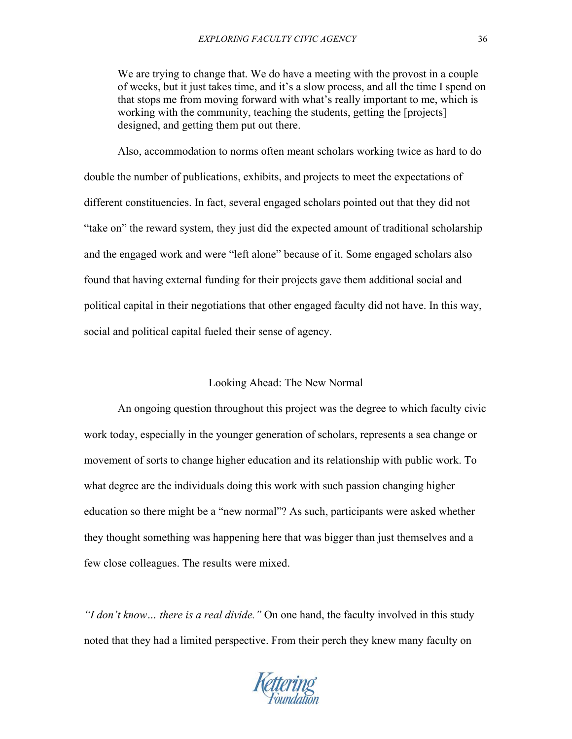We are trying to change that. We do have a meeting with the provost in a couple of weeks, but it just takes time, and it's a slow process, and all the time I spend on that stops me from moving forward with what's really important to me, which is working with the community, teaching the students, getting the [projects] designed, and getting them put out there.

Also, accommodation to norms often meant scholars working twice as hard to do double the number of publications, exhibits, and projects to meet the expectations of different constituencies. In fact, several engaged scholars pointed out that they did not "take on" the reward system, they just did the expected amount of traditional scholarship and the engaged work and were "left alone" because of it. Some engaged scholars also found that having external funding for their projects gave them additional social and political capital in their negotiations that other engaged faculty did not have. In this way, social and political capital fueled their sense of agency.

## Looking Ahead: The New Normal

An ongoing question throughout this project was the degree to which faculty civic work today, especially in the younger generation of scholars, represents a sea change or movement of sorts to change higher education and its relationship with public work. To what degree are the individuals doing this work with such passion changing higher education so there might be a "new normal"? As such, participants were asked whether they thought something was happening here that was bigger than just themselves and a few close colleagues. The results were mixed.

*"I don't know… there is a real divide."* On one hand, the faculty involved in this study noted that they had a limited perspective. From their perch they knew many faculty on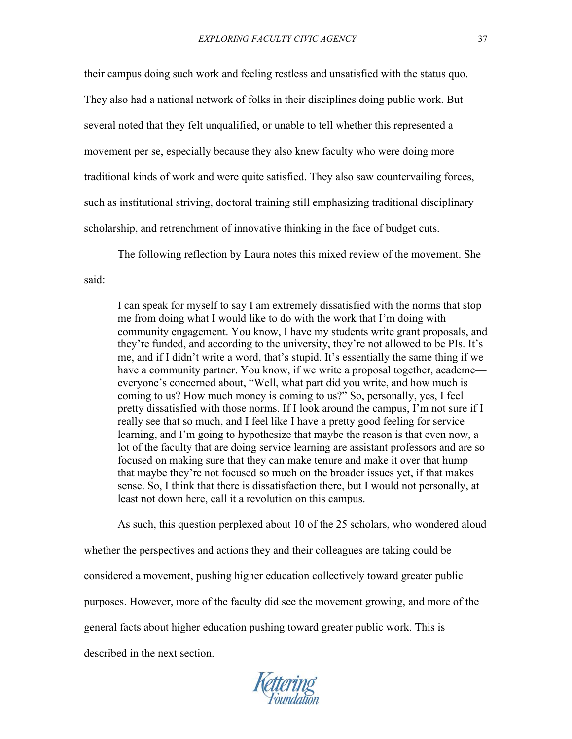their campus doing such work and feeling restless and unsatisfied with the status quo. They also had a national network of folks in their disciplines doing public work. But several noted that they felt unqualified, or unable to tell whether this represented a movement per se, especially because they also knew faculty who were doing more traditional kinds of work and were quite satisfied. They also saw countervailing forces, such as institutional striving, doctoral training still emphasizing traditional disciplinary scholarship, and retrenchment of innovative thinking in the face of budget cuts.

The following reflection by Laura notes this mixed review of the movement. She

said:

I can speak for myself to say I am extremely dissatisfied with the norms that stop me from doing what I would like to do with the work that I'm doing with community engagement. You know, I have my students write grant proposals, and they're funded, and according to the university, they're not allowed to be PIs. It's me, and if I didn't write a word, that's stupid. It's essentially the same thing if we have a community partner. You know, if we write a proposal together, academe everyone's concerned about, "Well, what part did you write, and how much is coming to us? How much money is coming to us?" So, personally, yes, I feel pretty dissatisfied with those norms. If I look around the campus, I'm not sure if I really see that so much, and I feel like I have a pretty good feeling for service learning, and I'm going to hypothesize that maybe the reason is that even now, a lot of the faculty that are doing service learning are assistant professors and are so focused on making sure that they can make tenure and make it over that hump that maybe they're not focused so much on the broader issues yet, if that makes sense. So, I think that there is dissatisfaction there, but I would not personally, at least not down here, call it a revolution on this campus.

As such, this question perplexed about 10 of the 25 scholars, who wondered aloud whether the perspectives and actions they and their colleagues are taking could be considered a movement, pushing higher education collectively toward greater public purposes. However, more of the faculty did see the movement growing, and more of the general facts about higher education pushing toward greater public work. This is described in the next section.

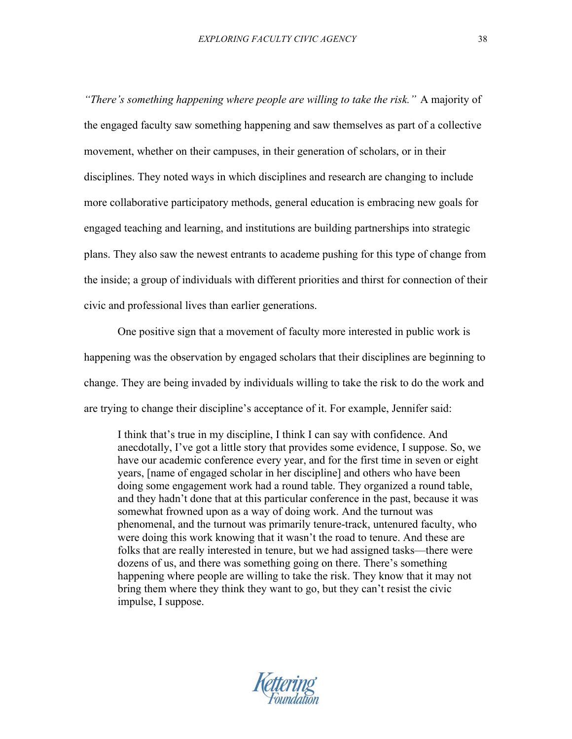*"There's something happening where people are willing to take the risk."* A majority of the engaged faculty saw something happening and saw themselves as part of a collective movement, whether on their campuses, in their generation of scholars, or in their disciplines. They noted ways in which disciplines and research are changing to include more collaborative participatory methods, general education is embracing new goals for engaged teaching and learning, and institutions are building partnerships into strategic plans. They also saw the newest entrants to academe pushing for this type of change from the inside; a group of individuals with different priorities and thirst for connection of their civic and professional lives than earlier generations.

One positive sign that a movement of faculty more interested in public work is happening was the observation by engaged scholars that their disciplines are beginning to change. They are being invaded by individuals willing to take the risk to do the work and are trying to change their discipline's acceptance of it. For example, Jennifer said:

I think that's true in my discipline, I think I can say with confidence. And anecdotally, I've got a little story that provides some evidence, I suppose. So, we have our academic conference every year, and for the first time in seven or eight years, [name of engaged scholar in her discipline] and others who have been doing some engagement work had a round table. They organized a round table, and they hadn't done that at this particular conference in the past, because it was somewhat frowned upon as a way of doing work. And the turnout was phenomenal, and the turnout was primarily tenure-track, untenured faculty, who were doing this work knowing that it wasn't the road to tenure. And these are folks that are really interested in tenure, but we had assigned tasks—there were dozens of us, and there was something going on there. There's something happening where people are willing to take the risk. They know that it may not bring them where they think they want to go, but they can't resist the civic impulse, I suppose.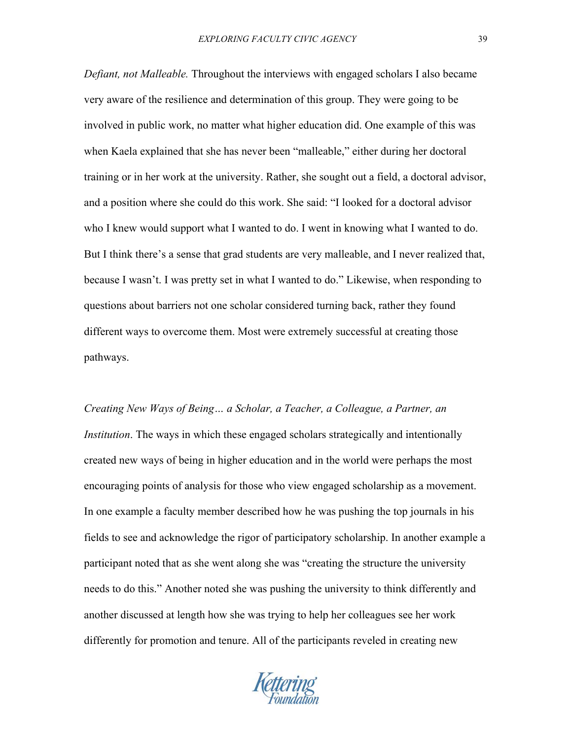*Defiant, not Malleable.* Throughout the interviews with engaged scholars I also became very aware of the resilience and determination of this group. They were going to be involved in public work, no matter what higher education did. One example of this was when Kaela explained that she has never been "malleable," either during her doctoral training or in her work at the university. Rather, she sought out a field, a doctoral advisor, and a position where she could do this work. She said: "I looked for a doctoral advisor who I knew would support what I wanted to do. I went in knowing what I wanted to do. But I think there's a sense that grad students are very malleable, and I never realized that, because I wasn't. I was pretty set in what I wanted to do." Likewise, when responding to questions about barriers not one scholar considered turning back, rather they found different ways to overcome them. Most were extremely successful at creating those pathways.

*Creating New Ways of Being… a Scholar, a Teacher, a Colleague, a Partner, an Institution*. The ways in which these engaged scholars strategically and intentionally created new ways of being in higher education and in the world were perhaps the most encouraging points of analysis for those who view engaged scholarship as a movement. In one example a faculty member described how he was pushing the top journals in his fields to see and acknowledge the rigor of participatory scholarship. In another example a participant noted that as she went along she was "creating the structure the university needs to do this." Another noted she was pushing the university to think differently and another discussed at length how she was trying to help her colleagues see her work differently for promotion and tenure. All of the participants reveled in creating new

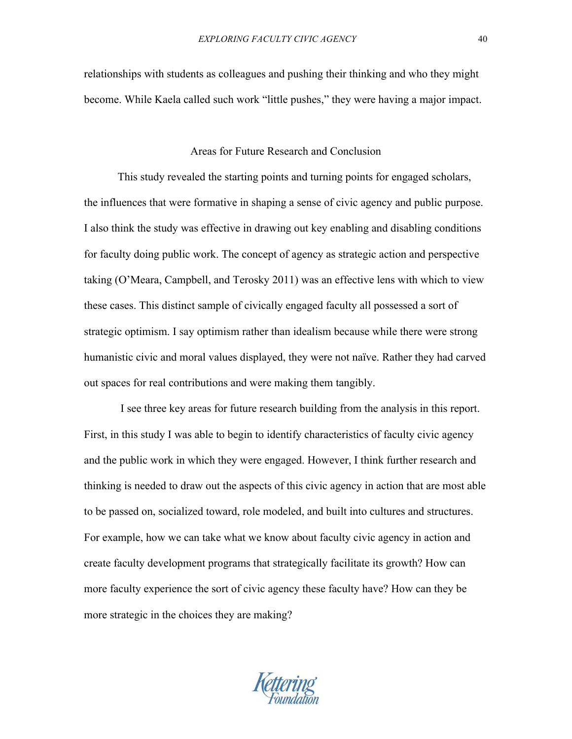relationships with students as colleagues and pushing their thinking and who they might become. While Kaela called such work "little pushes," they were having a major impact.

## Areas for Future Research and Conclusion

This study revealed the starting points and turning points for engaged scholars, the influences that were formative in shaping a sense of civic agency and public purpose. I also think the study was effective in drawing out key enabling and disabling conditions for faculty doing public work. The concept of agency as strategic action and perspective taking (O'Meara, Campbell, and Terosky 2011) was an effective lens with which to view these cases. This distinct sample of civically engaged faculty all possessed a sort of strategic optimism. I say optimism rather than idealism because while there were strong humanistic civic and moral values displayed, they were not naïve. Rather they had carved out spaces for real contributions and were making them tangibly.

I see three key areas for future research building from the analysis in this report. First, in this study I was able to begin to identify characteristics of faculty civic agency and the public work in which they were engaged. However, I think further research and thinking is needed to draw out the aspects of this civic agency in action that are most able to be passed on, socialized toward, role modeled, and built into cultures and structures. For example, how we can take what we know about faculty civic agency in action and create faculty development programs that strategically facilitate its growth? How can more faculty experience the sort of civic agency these faculty have? How can they be more strategic in the choices they are making?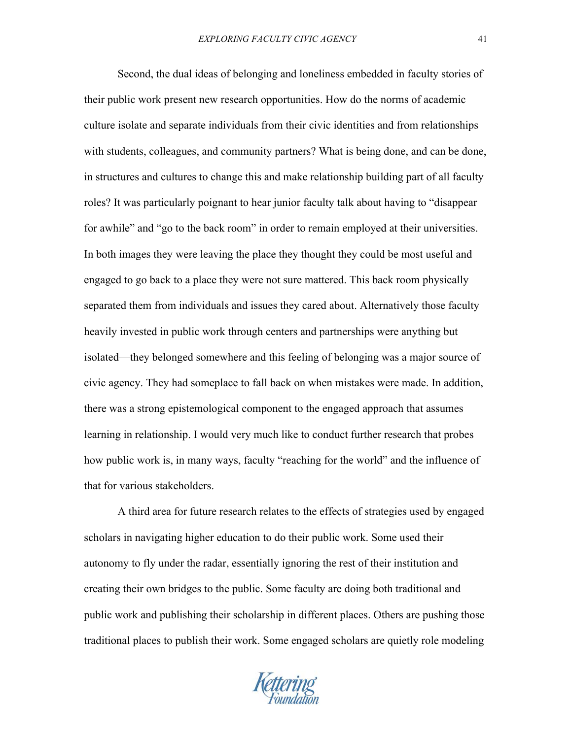Second, the dual ideas of belonging and loneliness embedded in faculty stories of their public work present new research opportunities. How do the norms of academic culture isolate and separate individuals from their civic identities and from relationships with students, colleagues, and community partners? What is being done, and can be done, in structures and cultures to change this and make relationship building part of all faculty roles? It was particularly poignant to hear junior faculty talk about having to "disappear for awhile" and "go to the back room" in order to remain employed at their universities. In both images they were leaving the place they thought they could be most useful and engaged to go back to a place they were not sure mattered. This back room physically separated them from individuals and issues they cared about. Alternatively those faculty heavily invested in public work through centers and partnerships were anything but isolated—they belonged somewhere and this feeling of belonging was a major source of civic agency. They had someplace to fall back on when mistakes were made. In addition, there was a strong epistemological component to the engaged approach that assumes learning in relationship. I would very much like to conduct further research that probes how public work is, in many ways, faculty "reaching for the world" and the influence of that for various stakeholders.

A third area for future research relates to the effects of strategies used by engaged scholars in navigating higher education to do their public work. Some used their autonomy to fly under the radar, essentially ignoring the rest of their institution and creating their own bridges to the public. Some faculty are doing both traditional and public work and publishing their scholarship in different places. Others are pushing those traditional places to publish their work. Some engaged scholars are quietly role modeling

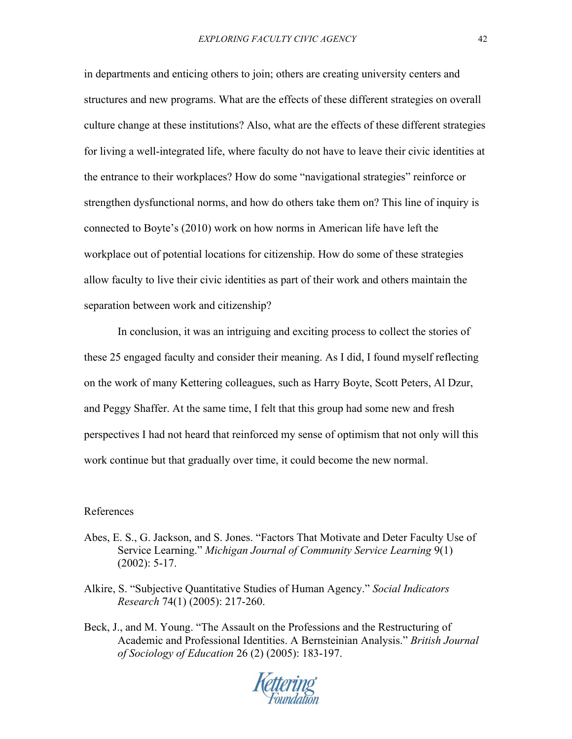in departments and enticing others to join; others are creating university centers and structures and new programs. What are the effects of these different strategies on overall culture change at these institutions? Also, what are the effects of these different strategies for living a well-integrated life, where faculty do not have to leave their civic identities at the entrance to their workplaces? How do some "navigational strategies" reinforce or strengthen dysfunctional norms, and how do others take them on? This line of inquiry is connected to Boyte's (2010) work on how norms in American life have left the workplace out of potential locations for citizenship. How do some of these strategies allow faculty to live their civic identities as part of their work and others maintain the separation between work and citizenship?

In conclusion, it was an intriguing and exciting process to collect the stories of these 25 engaged faculty and consider their meaning. As I did, I found myself reflecting on the work of many Kettering colleagues, such as Harry Boyte, Scott Peters, Al Dzur, and Peggy Shaffer. At the same time, I felt that this group had some new and fresh perspectives I had not heard that reinforced my sense of optimism that not only will this work continue but that gradually over time, it could become the new normal.

## References

- Abes, E. S., G. Jackson, and S. Jones. "Factors That Motivate and Deter Faculty Use of Service Learning." *Michigan Journal of Community Service Learning* 9(1) (2002): 5-17.
- Alkire, S. "Subjective Quantitative Studies of Human Agency." *Social Indicators Research* 74(1) (2005): 217-260.
- Beck, J., and M. Young. "The Assault on the Professions and the Restructuring of Academic and Professional Identities. A Bernsteinian Analysis." *British Journal of Sociology of Education* 26 (2) (2005): 183-197.

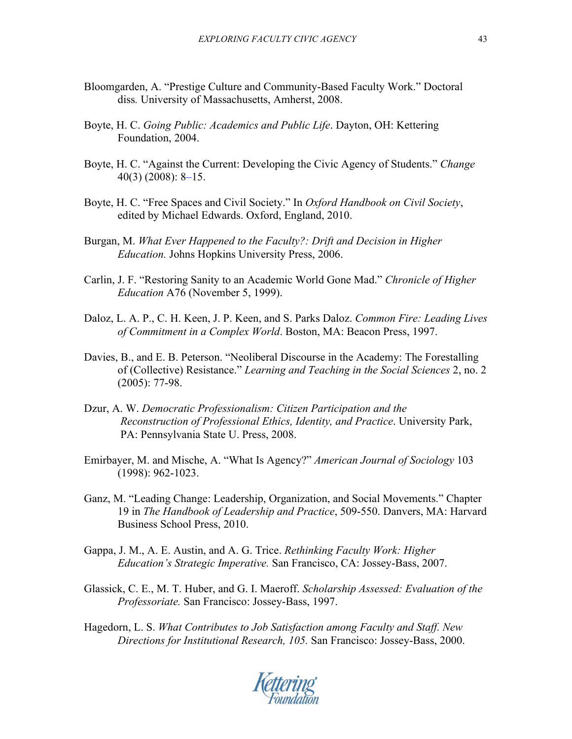- Bloomgarden, A. "Prestige Culture and Community-Based Faculty Work." Doctoral diss*.* University of Massachusetts, Amherst, 2008.
- Boyte, H. C. *Going Public: Academics and Public Life*. Dayton, OH: Kettering Foundation, 2004.
- Boyte, H. C. "Against the Current: Developing the Civic Agency of Students." *Change* 40(3) (2008): 8–15.
- Boyte, H. C. "Free Spaces and Civil Society." In *Oxford Handbook on Civil Society*, edited by Michael Edwards. Oxford, England, 2010.
- Burgan, M. *What Ever Happened to the Faculty?: Drift and Decision in Higher Education.* Johns Hopkins University Press, 2006.
- Carlin, J. F. "Restoring Sanity to an Academic World Gone Mad." *Chronicle of Higher Education* A76 (November 5, 1999).
- Daloz, L. A. P., C. H. Keen, J. P. Keen, and S. Parks Daloz. *Common Fire: Leading Lives of Commitment in a Complex World*. Boston, MA: Beacon Press, 1997.
- Davies, B., and E. B. Peterson. "Neoliberal Discourse in the Academy: The Forestalling of (Collective) Resistance." *Learning and Teaching in the Social Sciences* 2, no. 2 (2005): 77-98.
- Dzur, A. W. *Democratic Professionalism: Citizen Participation and the Reconstruction of Professional Ethics, Identity, and Practice*. University Park, PA: Pennsylvania State U. Press, 2008.
- Emirbayer, M. and Mische, A. "What Is Agency?" *American Journal of Sociology* 103 (1998): 962-1023.
- Ganz, M. "Leading Change: Leadership, Organization, and Social Movements." Chapter 19 in *The Handbook of Leadership and Practice*, 509-550. Danvers, MA: Harvard Business School Press, 2010.
- Gappa, J. M., A. E. Austin, and A. G. Trice. *Rethinking Faculty Work: Higher Education's Strategic Imperative.* San Francisco, CA: Jossey-Bass, 2007.
- Glassick, C. E., M. T. Huber, and G. I. Maeroff. *Scholarship Assessed: Evaluation of the Professoriate.* San Francisco: Jossey-Bass, 1997.
- Hagedorn, L. S. *What Contributes to Job Satisfaction among Faculty and Staff. New Directions for Institutional Research, 105.* San Francisco: Jossey-Bass, 2000.

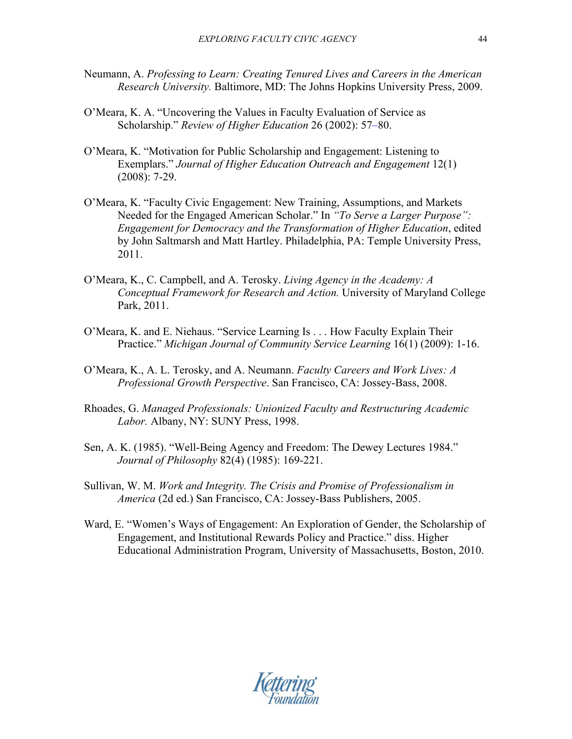- Neumann, A. *Professing to Learn: Creating Tenured Lives and Careers in the American Research University.* Baltimore, MD: The Johns Hopkins University Press, 2009.
- O'Meara, K. A. "Uncovering the Values in Faculty Evaluation of Service as Scholarship." *Review of Higher Education* 26 (2002): 57–80.
- O'Meara, K. "Motivation for Public Scholarship and Engagement: Listening to Exemplars." *Journal of Higher Education Outreach and Engagement* 12(1) (2008): 7-29.
- O'Meara, K. "Faculty Civic Engagement: New Training, Assumptions, and Markets Needed for the Engaged American Scholar." In *"To Serve a Larger Purpose": Engagement for Democracy and the Transformation of Higher Education*, edited by John Saltmarsh and Matt Hartley. Philadelphia, PA: Temple University Press, 2011.
- O'Meara, K., C. Campbell, and A. Terosky. *Living Agency in the Academy: A Conceptual Framework for Research and Action.* University of Maryland College Park, 2011.
- O'Meara, K. and E. Niehaus. "Service Learning Is . . . How Faculty Explain Their Practice." *Michigan Journal of Community Service Learning* 16(1) (2009): 1-16.
- O'Meara, K., A. L. Terosky, and A. Neumann. *Faculty Careers and Work Lives: A Professional Growth Perspective*. San Francisco, CA: Jossey-Bass, 2008.
- Rhoades, G. *Managed Professionals: Unionized Faculty and Restructuring Academic Labor.* Albany, NY: SUNY Press, 1998.
- Sen, A. K. (1985). "Well-Being Agency and Freedom: The Dewey Lectures 1984." *Journal of Philosophy* 82(4) (1985): 169-221.
- Sullivan, W. M. *Work and Integrity. The Crisis and Promise of Professionalism in America* (2d ed.) San Francisco, CA: Jossey-Bass Publishers, 2005.
- Ward, E. "Women's Ways of Engagement: An Exploration of Gender, the Scholarship of Engagement, and Institutional Rewards Policy and Practice." diss. Higher Educational Administration Program, University of Massachusetts, Boston, 2010.